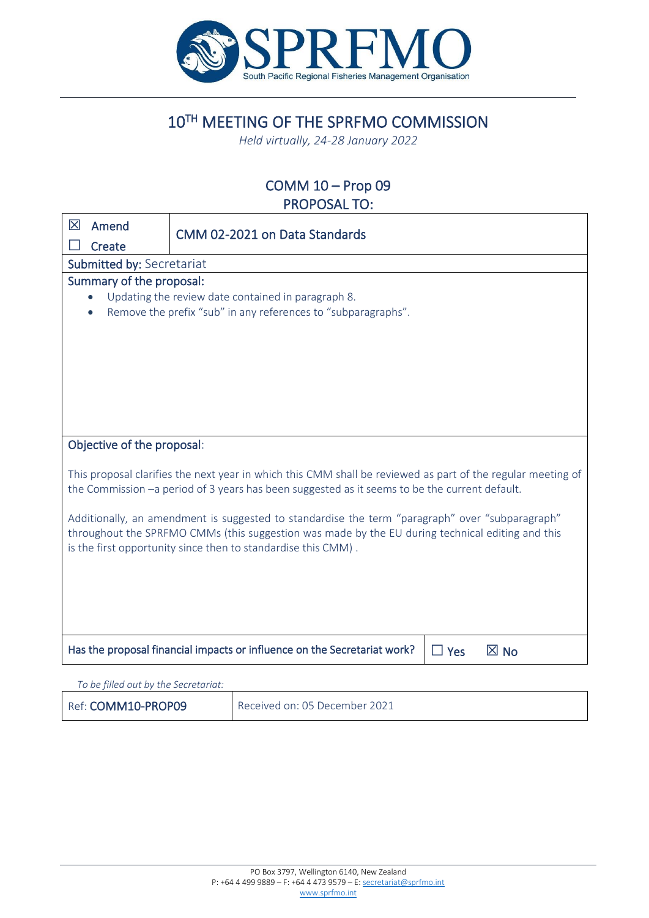

# 10TH MEETING OF THE SPRFMO COMMISSION

*Held virtually, 24-28 January 2022*

## COMM 10 – Prop 09 PROPOSAL TO:

| 区                                                                                                                                                                                                                                                                    | Amend                                                                                                                                                                                                        | CMM 02-2021 on Data Standards                                                                                       |  |  |  |
|----------------------------------------------------------------------------------------------------------------------------------------------------------------------------------------------------------------------------------------------------------------------|--------------------------------------------------------------------------------------------------------------------------------------------------------------------------------------------------------------|---------------------------------------------------------------------------------------------------------------------|--|--|--|
|                                                                                                                                                                                                                                                                      | Create                                                                                                                                                                                                       |                                                                                                                     |  |  |  |
|                                                                                                                                                                                                                                                                      | Submitted by: Secretariat                                                                                                                                                                                    |                                                                                                                     |  |  |  |
|                                                                                                                                                                                                                                                                      | Summary of the proposal:                                                                                                                                                                                     |                                                                                                                     |  |  |  |
|                                                                                                                                                                                                                                                                      |                                                                                                                                                                                                              | Updating the review date contained in paragraph 8.<br>Remove the prefix "sub" in any references to "subparagraphs". |  |  |  |
|                                                                                                                                                                                                                                                                      |                                                                                                                                                                                                              |                                                                                                                     |  |  |  |
|                                                                                                                                                                                                                                                                      |                                                                                                                                                                                                              |                                                                                                                     |  |  |  |
|                                                                                                                                                                                                                                                                      |                                                                                                                                                                                                              |                                                                                                                     |  |  |  |
|                                                                                                                                                                                                                                                                      | Objective of the proposal:                                                                                                                                                                                   |                                                                                                                     |  |  |  |
|                                                                                                                                                                                                                                                                      | This proposal clarifies the next year in which this CMM shall be reviewed as part of the regular meeting of<br>the Commission -a period of 3 years has been suggested as it seems to be the current default. |                                                                                                                     |  |  |  |
| Additionally, an amendment is suggested to standardise the term "paragraph" over "subparagraph"<br>throughout the SPRFMO CMMs (this suggestion was made by the EU during technical editing and this<br>is the first opportunity since then to standardise this CMM). |                                                                                                                                                                                                              |                                                                                                                     |  |  |  |
|                                                                                                                                                                                                                                                                      |                                                                                                                                                                                                              |                                                                                                                     |  |  |  |
|                                                                                                                                                                                                                                                                      |                                                                                                                                                                                                              |                                                                                                                     |  |  |  |
|                                                                                                                                                                                                                                                                      |                                                                                                                                                                                                              |                                                                                                                     |  |  |  |
|                                                                                                                                                                                                                                                                      |                                                                                                                                                                                                              | Has the proposal financial impacts or influence on the Secretariat work?<br>$\boxtimes$ No<br>$\Box$ Yes            |  |  |  |
|                                                                                                                                                                                                                                                                      |                                                                                                                                                                                                              |                                                                                                                     |  |  |  |

*To be filled out by the Secretariat:*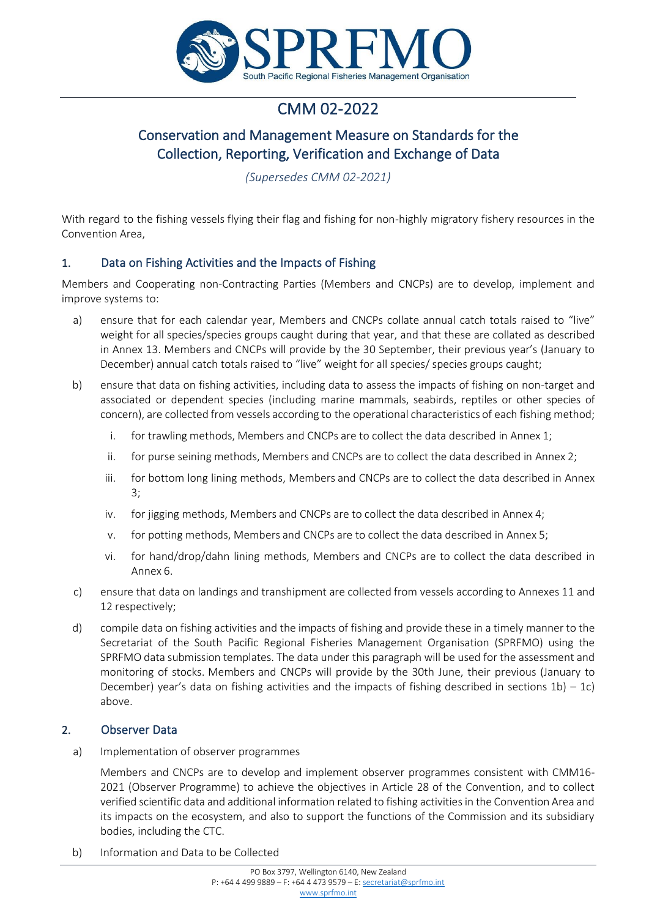

# CMM 02-2022

## Conservation and Management Measure on Standards for the Collection, Reporting, Verification and Exchange of Data

*(Supersedes CMM 02-2021)*

With regard to the fishing vessels flying their flag and fishing for non-highly migratory fishery resources in the Convention Area,

## 1. Data on Fishing Activities and the Impacts of Fishing

Members and Cooperating non-Contracting Parties (Members and CNCPs) are to develop, implement and improve systems to:

- a) ensure that for each calendar year, Members and CNCPs collate annual catch totals raised to "live" weight for all species/species groups caught during that year, and that these are collated as described in Annex 13. Members and CNCPs will provide by the 30 September, their previous year's (January to December) annual catch totals raised to "live" weight for all species/ species groups caught;
- b) ensure that data on fishing activities, including data to assess the impacts of fishing on non-target and associated or dependent species (including marine mammals, seabirds, reptiles or other species of concern), are collected from vessels according to the operational characteristics of each fishing method;
	- i. for trawling methods, Members and CNCPs are to collect the data described in Annex 1;
	- ii. for purse seining methods, Members and CNCPs are to collect the data described in Annex 2;
	- iii. for bottom long lining methods, Members and CNCPs are to collect the data described in Annex 3;
	- iv. for jigging methods, Members and CNCPs are to collect the data described in Annex 4;
	- v. for potting methods, Members and CNCPs are to collect the data described in Annex 5;
	- vi. for hand/drop/dahn lining methods, Members and CNCPs are to collect the data described in Annex 6.
- c) ensure that data on landings and transhipment are collected from vessels according to Annexes 11 and 12 respectively;
- d) compile data on fishing activities and the impacts of fishing and provide these in a timely manner to the Secretariat of the South Pacific Regional Fisheries Management Organisation (SPRFMO) using the SPRFMO data submission templates. The data under this paragraph will be used for the assessment and monitoring of stocks. Members and CNCPs will provide by the 30th June, their previous (January to December) year's data on fishing activities and the impacts of fishing described in sections  $1b$ ) –  $1c$ ) above.

## 2. Observer Data

a) Implementation of observer programmes

Members and CNCPs are to develop and implement observer programmes consistent with CMM16- 2021 (Observer Programme) to achieve the objectives in Article 28 of the Convention, and to collect verified scientific data and additional information related to fishing activities in the Convention Area and its impacts on the ecosystem, and also to support the functions of the Commission and its subsidiary bodies, including the CTC.

b) Information and Data to be Collected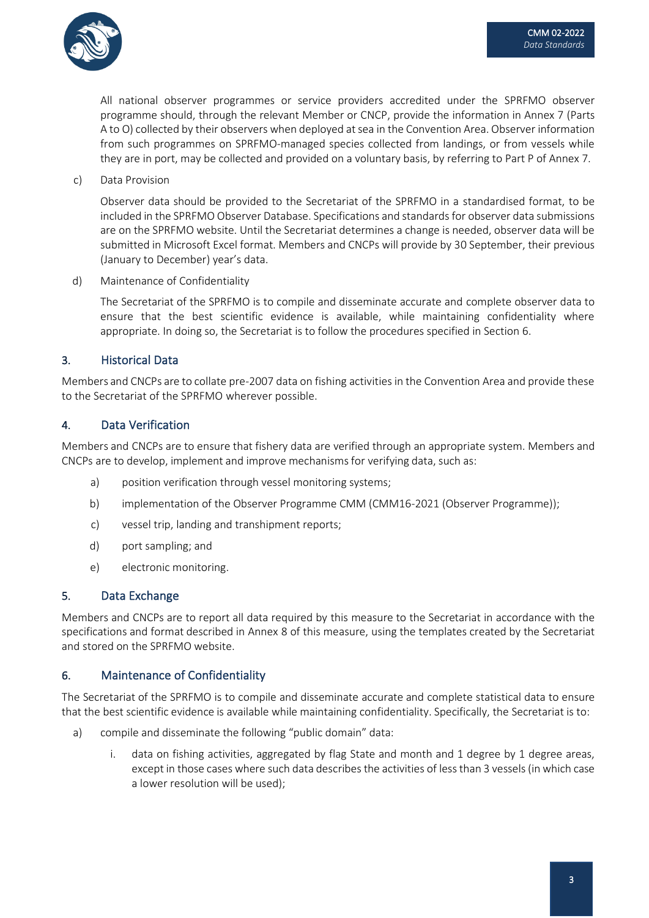

All national observer programmes or service providers accredited under the SPRFMO observer programme should, through the relevant Member or CNCP, provide the information in Annex 7 (Parts A to O) collected by their observers when deployed at sea in the Convention Area. Observer information from such programmes on SPRFMO-managed species collected from landings, or from vessels while they are in port, may be collected and provided on a voluntary basis, by referring to Part P of Annex 7.

c) Data Provision

Observer data should be provided to the Secretariat of the SPRFMO in a standardised format, to be included in the SPRFMO Observer Database. Specifications and standards for observer data submissions are on the SPRFMO website. Until the Secretariat determines a change is needed, observer data will be submitted in Microsoft Excel format. Members and CNCPs will provide by 30 September, their previous (January to December) year's data.

d) Maintenance of Confidentiality

The Secretariat of the SPRFMO is to compile and disseminate accurate and complete observer data to ensure that the best scientific evidence is available, while maintaining confidentiality where appropriate. In doing so, the Secretariat is to follow the procedures specified in Section 6.

## 3. Historical Data

Members and CNCPs are to collate pre-2007 data on fishing activities in the Convention Area and provide these to the Secretariat of the SPRFMO wherever possible.

## 4. Data Verification

Members and CNCPs are to ensure that fishery data are verified through an appropriate system. Members and CNCPs are to develop, implement and improve mechanisms for verifying data, such as:

- a) position verification through vessel monitoring systems;
- b) implementation of the Observer Programme CMM (CMM16-2021 (Observer Programme));
- c) vessel trip, landing and transhipment reports;
- d) port sampling; and
- e) electronic monitoring.

### 5. Data Exchange

Members and CNCPs are to report all data required by this measure to the Secretariat in accordance with the specifications and format described in Annex 8 of this measure, using the templates created by the Secretariat and stored on the SPRFMO website.

### 6. Maintenance of Confidentiality

The Secretariat of the SPRFMO is to compile and disseminate accurate and complete statistical data to ensure that the best scientific evidence is available while maintaining confidentiality. Specifically, the Secretariat is to:

- a) compile and disseminate the following "public domain" data:
	- i. data on fishing activities, aggregated by flag State and month and 1 degree by 1 degree areas, except in those cases where such data describes the activities of less than 3 vessels (in which case a lower resolution will be used);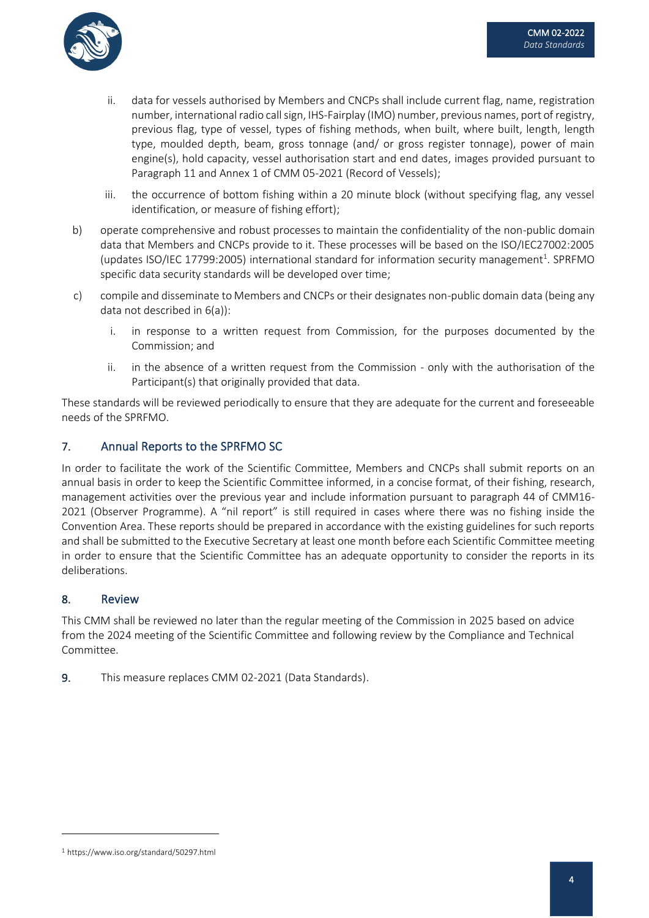

- ii. data for vessels authorised by Members and CNCPs shall include current flag, name, registration number, international radio call sign, IHS-Fairplay (IMO) number, previous names, port of registry, previous flag, type of vessel, types of fishing methods, when built, where built, length, length type, moulded depth, beam, gross tonnage (and/ or gross register tonnage), power of main engine(s), hold capacity, vessel authorisation start and end dates, images provided pursuant to Paragraph 11 and Annex 1 of CMM 05-2021 (Record of Vessels);
- iii. the occurrence of bottom fishing within a 20 minute block (without specifying flag, any vessel identification, or measure of fishing effort);
- b) operate comprehensive and robust processes to maintain the confidentiality of the non-public domain data that Members and CNCPs provide to it. These processes will be based on the ISO/IEC27002:2005 (updates ISO/IEC 17799:2005) international standard for information security management<sup>1</sup>. SPRFMO specific data security standards will be developed over time;
- c) compile and disseminate to Members and CNCPs or their designates non-public domain data (being any data not described in 6(a)):
	- i. in response to a written request from Commission, for the purposes documented by the Commission; and
	- ii. in the absence of a written request from the Commission only with the authorisation of the Participant(s) that originally provided that data.

These standards will be reviewed periodically to ensure that they are adequate for the current and foreseeable needs of the SPRFMO.

## 7. Annual Reports to the SPRFMO SC

In order to facilitate the work of the Scientific Committee, Members and CNCPs shall submit reports on an annual basis in order to keep the Scientific Committee informed, in a concise format, of their fishing, research, management activities over the previous year and include information pursuant to paragraph 44 of CMM16- 2021 (Observer Programme). A "nil report" is still required in cases where there was no fishing inside the Convention Area. These reports should be prepared in accordance with the existing guidelines for such reports and shall be submitted to the Executive Secretary at least one month before each Scientific Committee meeting in order to ensure that the Scientific Committee has an adequate opportunity to consider the reports in its deliberations.

## 8. Review

This CMM shall be reviewed no later than the regular meeting of the Commission in 2025 based on advice from the 2024 meeting of the Scientific Committee and following review by the Compliance and Technical Committee.

9. This measure replaces CMM 02-2021 (Data Standards).

<sup>1</sup> https://www.iso.org/standard/50297.html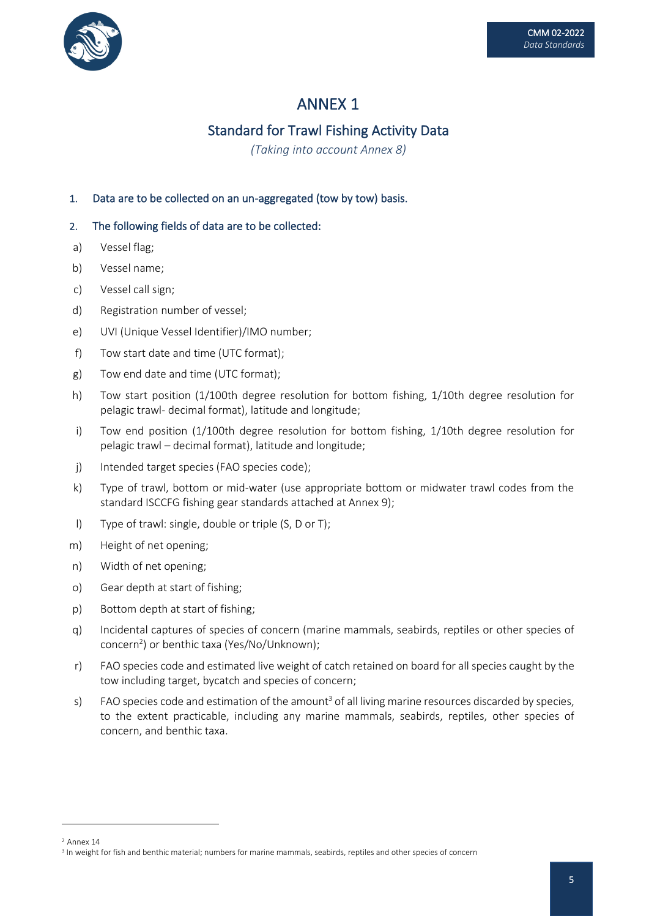

## Standard for Trawl Fishing Activity Data

*(Taking into account Annex 8)*

### 1. Data are to be collected on an un-aggregated (tow by tow) basis.

- a) Vessel flag;
- b) Vessel name;
- c) Vessel call sign;
- d) Registration number of vessel;
- e) UVI (Unique Vessel Identifier)/IMO number;
- f) Tow start date and time (UTC format);
- g) Tow end date and time (UTC format);
- h) Tow start position (1/100th degree resolution for bottom fishing, 1/10th degree resolution for pelagic trawl- decimal format), latitude and longitude;
- i) Tow end position (1/100th degree resolution for bottom fishing, 1/10th degree resolution for pelagic trawl – decimal format), latitude and longitude;
- j) Intended target species (FAO species code);
- k) Type of trawl, bottom or mid-water (use appropriate bottom or midwater trawl codes from the standard ISCCFG fishing gear standards attached at Annex 9);
- l) Type of trawl: single, double or triple (S, D or T);
- m) Height of net opening;
- n) Width of net opening;
- o) Gear depth at start of fishing;
- p) Bottom depth at start of fishing;
- q) Incidental captures of species of concern (marine mammals, seabirds, reptiles or other species of concern<sup>2</sup> ) or benthic taxa (Yes/No/Unknown);
- r) FAO species code and estimated live weight of catch retained on board for all species caught by the tow including target, bycatch and species of concern;
- s) FAO species code and estimation of the amount<sup>3</sup> of all living marine resources discarded by species, to the extent practicable, including any marine mammals, seabirds, reptiles, other species of concern, and benthic taxa.

<sup>2</sup> Annex 14

<sup>3</sup> In weight for fish and benthic material; numbers for marine mammals, seabirds, reptiles and other species of concern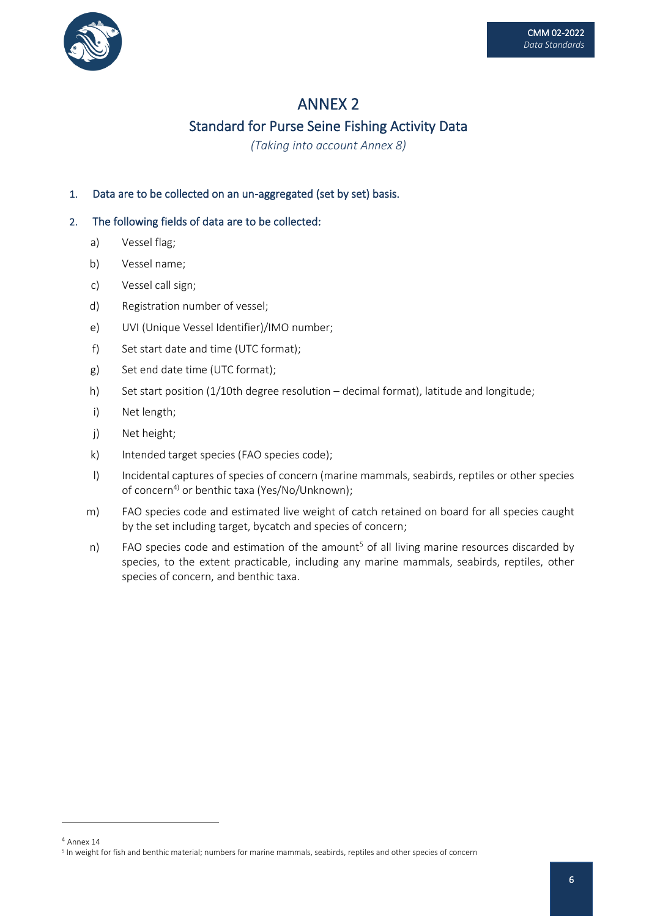

## Standard for Purse Seine Fishing Activity Data

*(Taking into account Annex 8)*

## 1. Data are to be collected on an un-aggregated (set by set) basis.

- a) Vessel flag;
- b) Vessel name;
- c) Vessel call sign;
- d) Registration number of vessel;
- e) UVI (Unique Vessel Identifier)/IMO number;
- f) Set start date and time (UTC format);
- g) Set end date time (UTC format);
- h) Set start position (1/10th degree resolution decimal format), latitude and longitude;
- i) Net length;
- j) Net height;
- k) Intended target species (FAO species code);
- l) Incidental captures of species of concern (marine mammals, seabirds, reptiles or other species of concern<sup>4)</sup> or benthic taxa (Yes/No/Unknown);
- m) FAO species code and estimated live weight of catch retained on board for all species caught by the set including target, bycatch and species of concern;
- n) FAO species code and estimation of the amount<sup>5</sup> of all living marine resources discarded by species, to the extent practicable, including any marine mammals, seabirds, reptiles, other species of concern, and benthic taxa.

<sup>4</sup> Annex 14

<sup>5</sup> In weight for fish and benthic material; numbers for marine mammals, seabirds, reptiles and other species of concern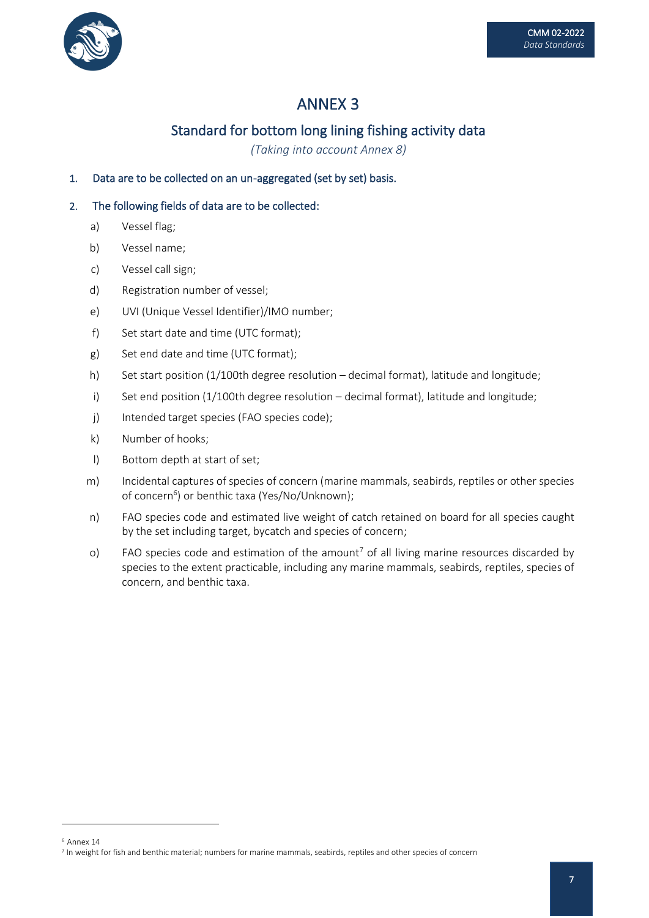

# Standard for bottom long lining fishing activity data

*(Taking into account Annex 8)*

### 1. Data are to be collected on an un-aggregated (set by set) basis.

- a) Vessel flag;
- b) Vessel name;
- c) Vessel call sign;
- d) Registration number of vessel;
- e) UVI (Unique Vessel Identifier)/IMO number;
- f) Set start date and time (UTC format);
- g) Set end date and time (UTC format);
- h) Set start position (1/100th degree resolution decimal format), latitude and longitude;
- i) Set end position (1/100th degree resolution decimal format), latitude and longitude;
- j) Intended target species (FAO species code);
- k) Number of hooks;
- l) Bottom depth at start of set;
- m) Incidental captures of species of concern (marine mammals, seabirds, reptiles or other species of concern<sup>6</sup>) or benthic taxa (Yes/No/Unknown);
- n) FAO species code and estimated live weight of catch retained on board for all species caught by the set including target, bycatch and species of concern;
- o) FAO species code and estimation of the amount<sup>7</sup> of all living marine resources discarded by species to the extent practicable, including any marine mammals, seabirds, reptiles, species of concern, and benthic taxa.

<sup>6</sup> Annex 14

<sup>7</sup> In weight for fish and benthic material; numbers for marine mammals, seabirds, reptiles and other species of concern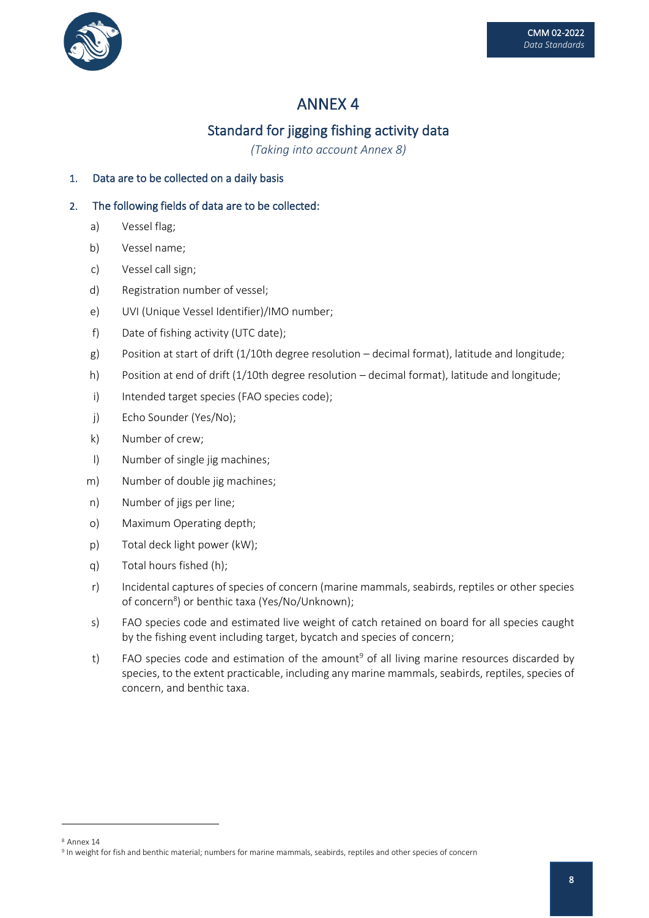

# Standard for jigging fishing activity data

*(Taking into account Annex 8)*

## 1. Data are to be collected on a daily basis

- a) Vessel flag;
- b) Vessel name;
- c) Vessel call sign;
- d) Registration number of vessel;
- e) UVI (Unique Vessel Identifier)/IMO number;
- f) Date of fishing activity (UTC date);
- g) Position at start of drift (1/10th degree resolution decimal format), latitude and longitude;
- h) Position at end of drift (1/10th degree resolution decimal format), latitude and longitude;
- i) Intended target species (FAO species code);
- j) Echo Sounder (Yes/No);
- k) Number of crew;
- l) Number of single jig machines;
- m) Number of double jig machines;
- n) Number of jigs per line;
- o) Maximum Operating depth;
- p) Total deck light power (kW);
- q) Total hours fished (h);
- r) Incidental captures of species of concern (marine mammals, seabirds, reptiles or other species of concern<sup>8</sup>) or benthic taxa (Yes/No/Unknown);
- s) FAO species code and estimated live weight of catch retained on board for all species caught by the fishing event including target, bycatch and species of concern;
- t) FAO species code and estimation of the amount<sup>9</sup> of all living marine resources discarded by species, to the extent practicable, including any marine mammals, seabirds, reptiles, species of concern, and benthic taxa.

<sup>8</sup> Annex 14

<sup>9</sup> In weight for fish and benthic material; numbers for marine mammals, seabirds, reptiles and other species of concern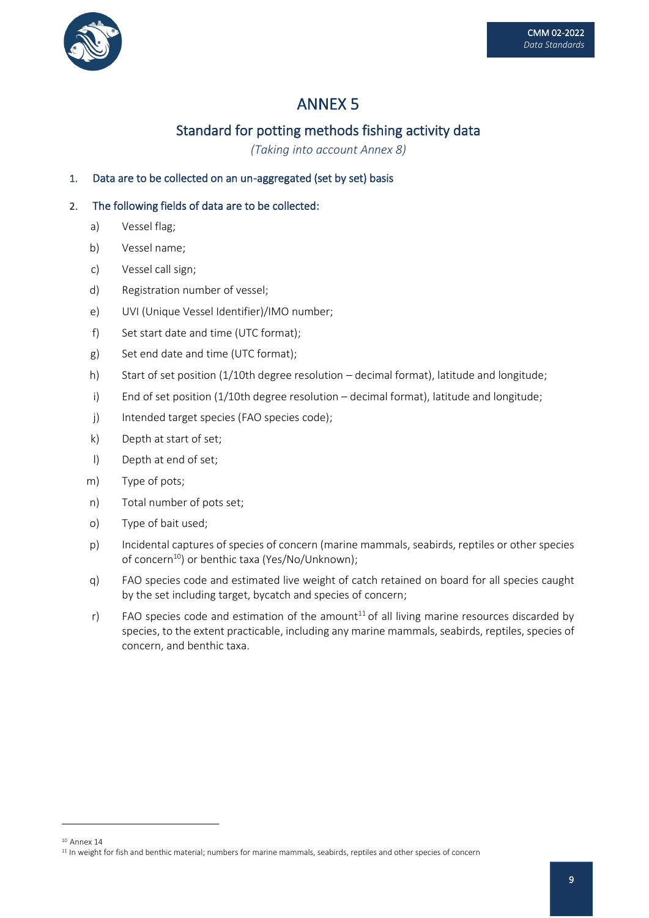

## Standard for potting methods fishing activity data

*(Taking into account Annex 8)*

### 1. Data are to be collected on an un-aggregated (set by set) basis

- a) Vessel flag;
- b) Vessel name;
- c) Vessel call sign;
- d) Registration number of vessel;
- e) UVI (Unique Vessel Identifier)/IMO number;
- f) Set start date and time (UTC format);
- g) Set end date and time (UTC format);
- h) Start of set position (1/10th degree resolution decimal format), latitude and longitude;
- i) End of set position (1/10th degree resolution decimal format), latitude and longitude;
- j) Intended target species (FAO species code);
- k) Depth at start of set;
- l) Depth at end of set;
- m) Type of pots;
- n) Total number of pots set;
- o) Type of bait used;
- p) Incidental captures of species of concern (marine mammals, seabirds, reptiles or other species of concern<sup>10</sup>) or benthic taxa (Yes/No/Unknown);
- q) FAO species code and estimated live weight of catch retained on board for all species caught by the set including target, bycatch and species of concern;
- r) FAO species code and estimation of the amount<sup>11</sup> of all living marine resources discarded by species, to the extent practicable, including any marine mammals, seabirds, reptiles, species of concern, and benthic taxa.

<sup>&</sup>lt;sup>10</sup> Annex 14

<sup>&</sup>lt;sup>11</sup> In weight for fish and benthic material; numbers for marine mammals, seabirds, reptiles and other species of concern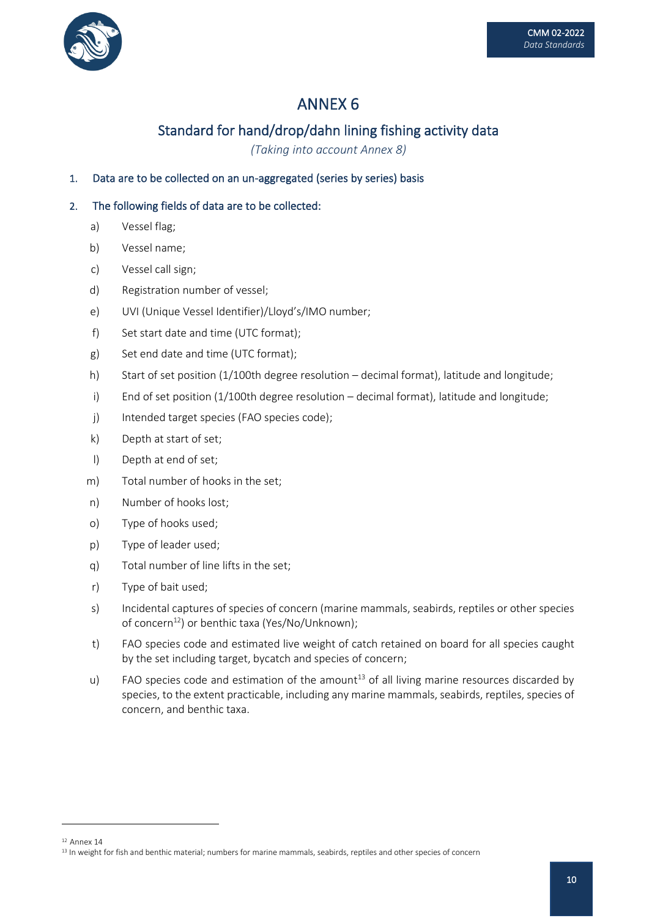

# Standard for hand/drop/dahn lining fishing activity data

*(Taking into account Annex 8)*

### 1. Data are to be collected on an un-aggregated (series by series) basis

- a) Vessel flag;
- b) Vessel name;
- c) Vessel call sign;
- d) Registration number of vessel;
- e) UVI (Unique Vessel Identifier)/Lloyd's/IMO number;
- f) Set start date and time (UTC format);
- g) Set end date and time (UTC format);
- h) Start of set position (1/100th degree resolution decimal format), latitude and longitude;
- i) End of set position (1/100th degree resolution decimal format), latitude and longitude;
- j) Intended target species (FAO species code);
- k) Depth at start of set;
- l) Depth at end of set;
- m) Total number of hooks in the set;
- n) Number of hooks lost;
- o) Type of hooks used;
- p) Type of leader used;
- q) Total number of line lifts in the set;
- r) Type of bait used;
- s) Incidental captures of species of concern (marine mammals, seabirds, reptiles or other species of concern<sup>12</sup>) or benthic taxa (Yes/No/Unknown);
- t) FAO species code and estimated live weight of catch retained on board for all species caught by the set including target, bycatch and species of concern;
- u) FAO species code and estimation of the amount<sup>13</sup> of all living marine resources discarded by species, to the extent practicable, including any marine mammals, seabirds, reptiles, species of concern, and benthic taxa.

<sup>&</sup>lt;sup>12</sup> Annex 14

<sup>&</sup>lt;sup>13</sup> In weight for fish and benthic material; numbers for marine mammals, seabirds, reptiles and other species of concern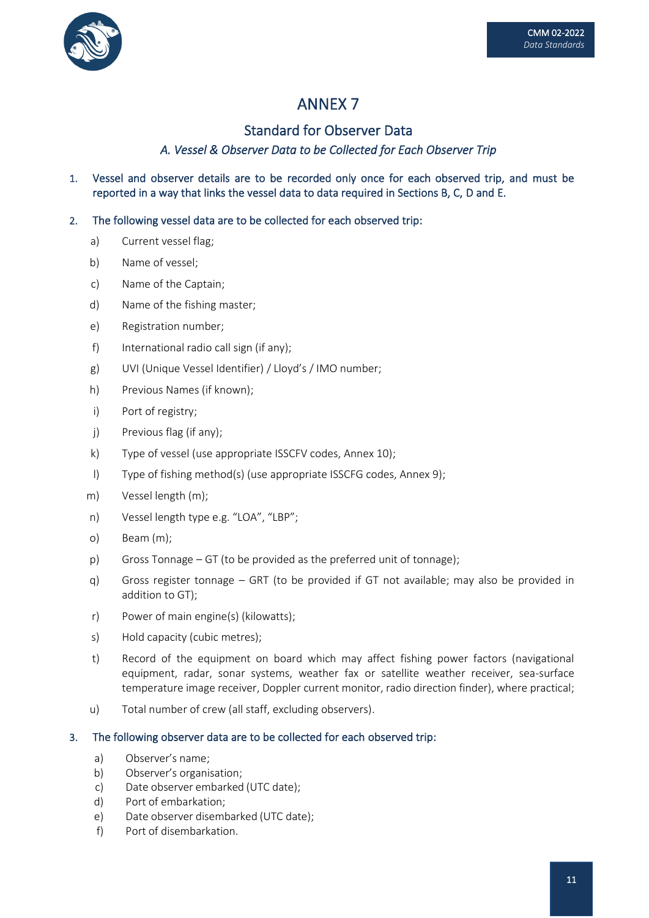

## Standard for Observer Data

## *A. Vessel & Observer Data to be Collected for Each Observer Trip*

1. Vessel and observer details are to be recorded only once for each observed trip, and must be reported in a way that links the vessel data to data required in Sections B, C, D and E.

### 2. The following vessel data are to be collected for each observed trip:

- a) Current vessel flag;
- b) Name of vessel;
- c) Name of the Captain;
- d) Name of the fishing master;
- e) Registration number;
- f) International radio call sign (if any);
- g) UVI (Unique Vessel Identifier) / Lloyd's / IMO number;
- h) Previous Names (if known);
- i) Port of registry;
- j) Previous flag (if any);
- k) Type of vessel (use appropriate ISSCFV codes, Annex 10);
- l) Type of fishing method(s) (use appropriate ISSCFG codes, Annex 9);
- m) Vessel length (m);
- n) Vessel length type e.g. "LOA", "LBP";
- o) Beam (m);
- p) Gross Tonnage GT (to be provided as the preferred unit of tonnage);
- q) Gross register tonnage GRT (to be provided if GT not available; may also be provided in addition to GT);
- r) Power of main engine(s) (kilowatts);
- s) Hold capacity (cubic metres);
- t) Record of the equipment on board which may affect fishing power factors (navigational equipment, radar, sonar systems, weather fax or satellite weather receiver, sea-surface temperature image receiver, Doppler current monitor, radio direction finder), where practical;
- u) Total number of crew (all staff, excluding observers).

#### 3. The following observer data are to be collected for each observed trip:

- a) Observer's name;
- b) Observer's organisation;
- c) Date observer embarked (UTC date);
- d) Port of embarkation;
- e) Date observer disembarked (UTC date);
- f) Port of disembarkation.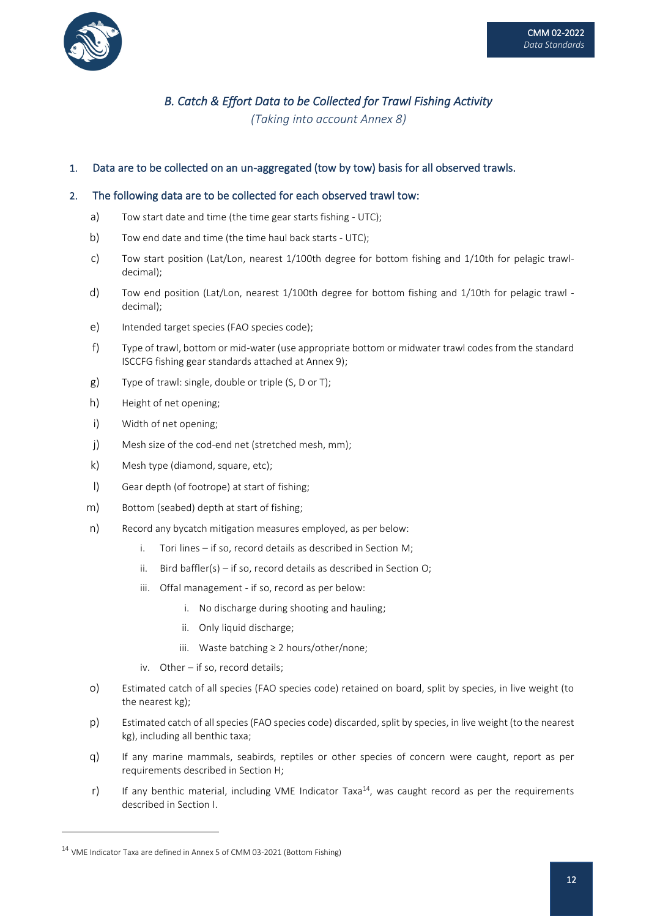

## *B. Catch & Effort Data to be Collected for Trawl Fishing Activity*

*(Taking into account Annex 8)*

#### 1. Data are to be collected on an un-aggregated (tow by tow) basis for all observed trawls.

#### 2. The following data are to be collected for each observed trawl tow:

- a) Tow start date and time (the time gear starts fishing UTC);
- b) Tow end date and time (the time haul back starts UTC);
- c) Tow start position (Lat/Lon, nearest 1/100th degree for bottom fishing and 1/10th for pelagic trawldecimal);
- d) Tow end position (Lat/Lon, nearest 1/100th degree for bottom fishing and 1/10th for pelagic trawl decimal);
- e) Intended target species (FAO species code);
- f) Type of trawl, bottom or mid-water (use appropriate bottom or midwater trawl codes from the standard ISCCFG fishing gear standards attached at Annex 9);
- g) Type of trawl: single, double or triple (S, D or T);
- h) Height of net opening;
- i) Width of net opening;
- j) Mesh size of the cod-end net (stretched mesh, mm);
- k) Mesh type (diamond, square, etc);
- l) Gear depth (of footrope) at start of fishing;
- m) Bottom (seabed) depth at start of fishing;
- n) Record any bycatch mitigation measures employed, as per below:
	- i. Tori lines if so, record details as described in Section M;
	- ii. Bird baffler(s) if so, record details as described in Section O;
	- iii. Offal management if so, record as per below:
		- i. No discharge during shooting and hauling;
		- ii. Only liquid discharge;
		- iii. Waste batching ≥ 2 hours/other/none;
	- iv. Other if so, record details;
- o) Estimated catch of all species (FAO species code) retained on board, split by species, in live weight (to the nearest kg);
- p) Estimated catch of all species (FAO species code) discarded, split by species, in live weight (to the nearest kg), including all benthic taxa;
- q) If any marine mammals, seabirds, reptiles or other species of concern were caught, report as per requirements described in Section H;
- r) If any benthic material, including VME Indicator Taxa<sup>14</sup>, was caught record as per the requirements described in Section I.

<sup>14</sup> VME Indicator Taxa are defined in Annex 5 of CMM 03-2021 (Bottom Fishing)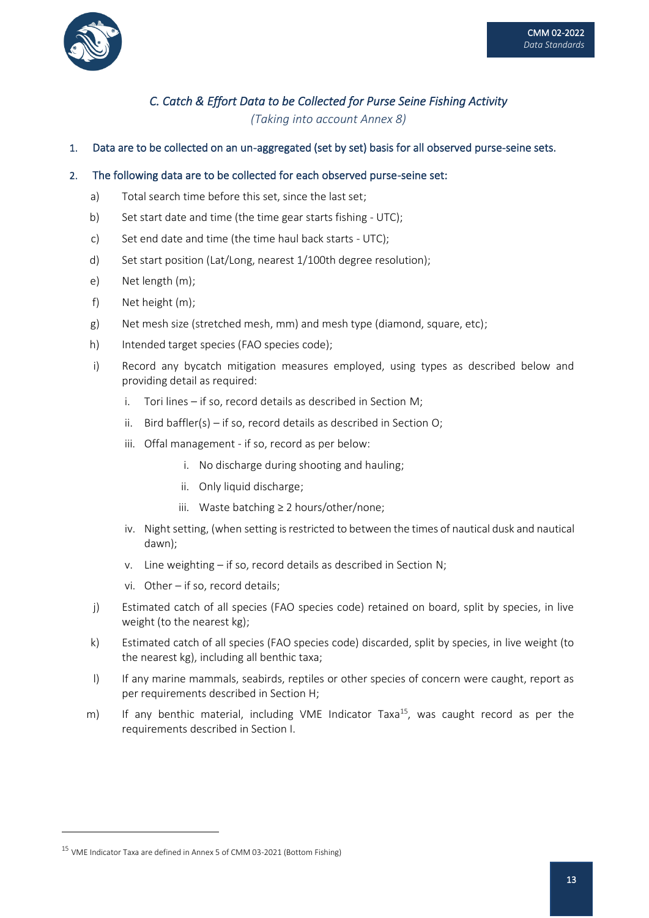

## *C. Catch & Effort Data to be Collected for Purse Seine Fishing Activity (Taking into account Annex 8)*

1. Data are to be collected on an un-aggregated (set by set) basis for all observed purse-seine sets.

#### 2. The following data are to be collected for each observed purse-seine set:

- a) Total search time before this set, since the last set;
- b) Set start date and time (the time gear starts fishing UTC);
- c) Set end date and time (the time haul back starts UTC);
- d) Set start position (Lat/Long, nearest 1/100th degree resolution);
- e) Net length (m);
- f) Net height (m);
- g) Net mesh size (stretched mesh, mm) and mesh type (diamond, square, etc);
- h) Intended target species (FAO species code);
- i) Record any bycatch mitigation measures employed, using types as described below and providing detail as required:
	- i. Tori lines if so, record details as described in Section M;
	- ii. Bird baffler(s) if so, record details as described in Section O;
	- iii. Offal management if so, record as per below:
		- i. No discharge during shooting and hauling;
		- ii. Only liquid discharge;
		- iii. Waste batching ≥ 2 hours/other/none;
	- iv. Night setting, (when setting is restricted to between the times of nautical dusk and nautical dawn);
	- v. Line weighting if so, record details as described in Section N;
	- vi. Other if so, record details;
- j) Estimated catch of all species (FAO species code) retained on board, split by species, in live weight (to the nearest kg);
- k) Estimated catch of all species (FAO species code) discarded, split by species, in live weight (to the nearest kg), including all benthic taxa;
- l) If any marine mammals, seabirds, reptiles or other species of concern were caught, report as per requirements described in Section H;
- m) If any benthic material, including VME Indicator Taxa<sup>15</sup>, was caught record as per the requirements described in Section I.

<sup>15</sup> VME Indicator Taxa are defined in Annex 5 of CMM 03-2021 (Bottom Fishing)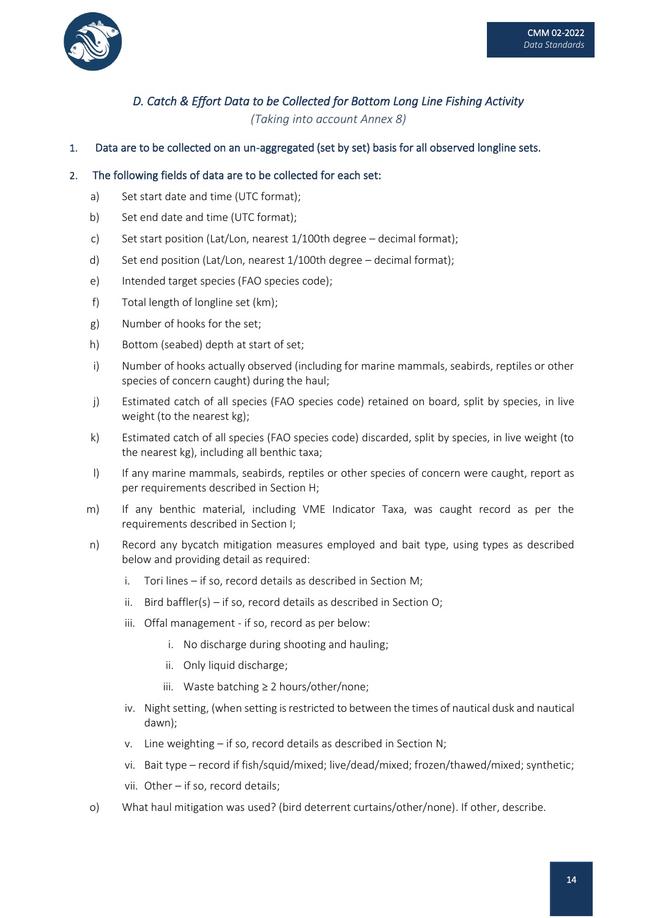

## *D. Catch & Effort Data to be Collected for Bottom Long Line Fishing Activity (Taking into account Annex 8)*

1. Data are to be collected on an un-aggregated (set by set) basis for all observed longline sets.

#### 2. The following fields of data are to be collected for each set:

- a) Set start date and time (UTC format);
- b) Set end date and time (UTC format);
- c) Set start position (Lat/Lon, nearest 1/100th degree decimal format);
- d) Set end position (Lat/Lon, nearest 1/100th degree decimal format);
- e) Intended target species (FAO species code);
- f) Total length of longline set (km);
- g) Number of hooks for the set;
- h) Bottom (seabed) depth at start of set;
- i) Number of hooks actually observed (including for marine mammals, seabirds, reptiles or other species of concern caught) during the haul;
- j) Estimated catch of all species (FAO species code) retained on board, split by species, in live weight (to the nearest kg);
- k) Estimated catch of all species (FAO species code) discarded, split by species, in live weight (to the nearest kg), including all benthic taxa;
- l) If any marine mammals, seabirds, reptiles or other species of concern were caught, report as per requirements described in Section H;
- m) If any benthic material, including VME Indicator Taxa, was caught record as per the requirements described in Section I;
- n) Record any bycatch mitigation measures employed and bait type, using types as described below and providing detail as required:
	- i. Tori lines if so, record details as described in Section M;
	- ii. Bird baffler(s) if so, record details as described in Section O;
	- iii. Offal management if so, record as per below:
		- i. No discharge during shooting and hauling;
		- ii. Only liquid discharge;
		- iii. Waste batching ≥ 2 hours/other/none;
	- iv. Night setting, (when setting is restricted to between the times of nautical dusk and nautical dawn);
	- v. Line weighting if so, record details as described in Section N;
	- vi. Bait type record if fish/squid/mixed; live/dead/mixed; frozen/thawed/mixed; synthetic;
	- vii. Other if so, record details;
- o) What haul mitigation was used? (bird deterrent curtains/other/none). If other, describe.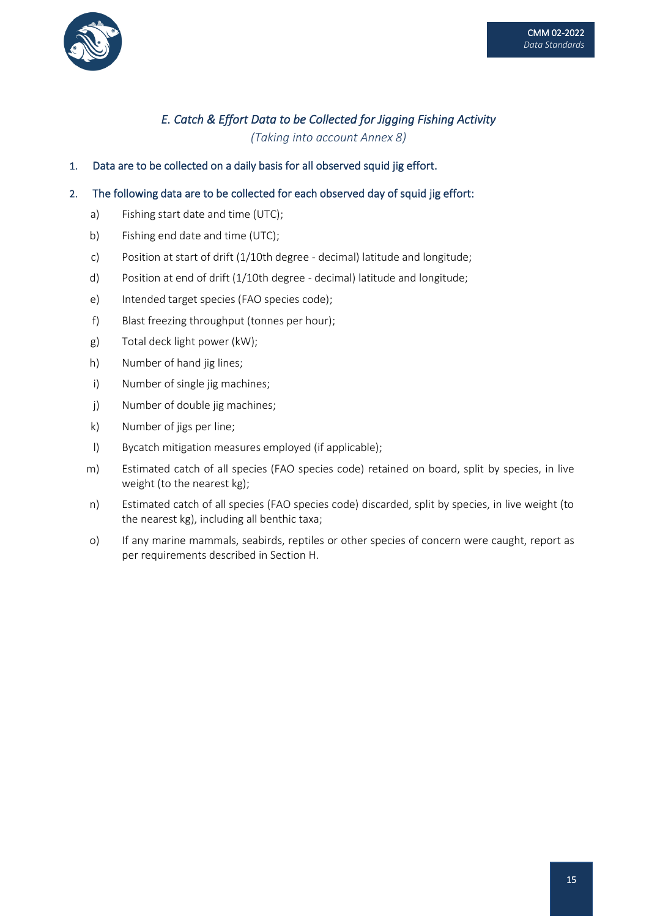

## *E. Catch & Effort Data to be Collected for Jigging Fishing Activity (Taking into account Annex 8)*

1. Data are to be collected on a daily basis for all observed squid jig effort.

#### 2. The following data are to be collected for each observed day of squid jig effort:

- a) Fishing start date and time (UTC);
- b) Fishing end date and time (UTC);
- c) Position at start of drift (1/10th degree decimal) latitude and longitude;
- d) Position at end of drift (1/10th degree decimal) latitude and longitude;
- e) Intended target species (FAO species code);
- f) Blast freezing throughput (tonnes per hour);
- g) Total deck light power (kW);
- h) Number of hand jig lines;
- i) Number of single jig machines;
- j) Number of double jig machines;
- k) Number of jigs per line;
- l) Bycatch mitigation measures employed (if applicable);
- m) Estimated catch of all species (FAO species code) retained on board, split by species, in live weight (to the nearest kg);
- n) Estimated catch of all species (FAO species code) discarded, split by species, in live weight (to the nearest kg), including all benthic taxa;
- o) If any marine mammals, seabirds, reptiles or other species of concern were caught, report as per requirements described in Section H.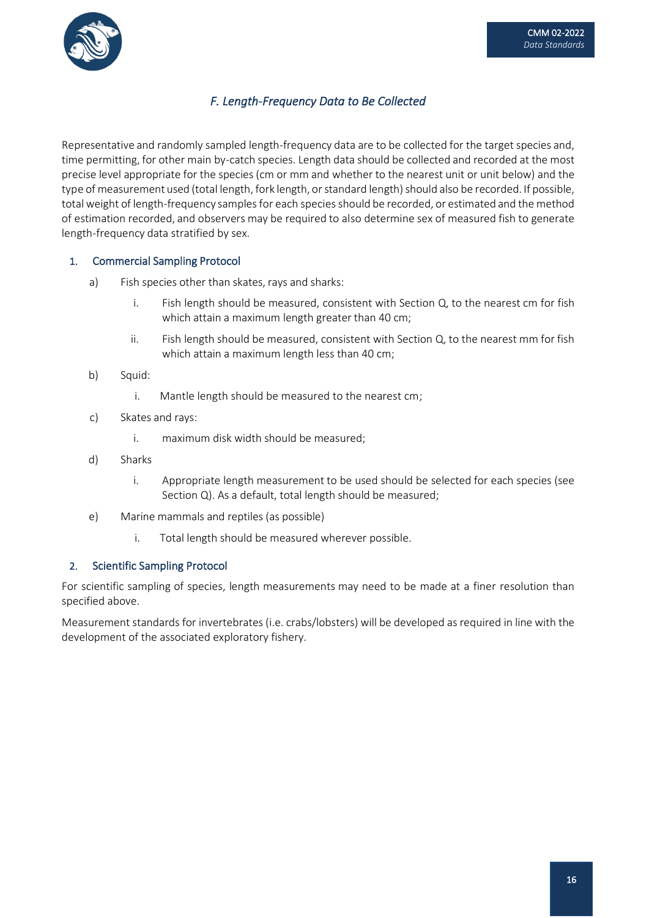

## *F. Length-Frequency Data to Be Collected*

Representative and randomly sampled length-frequency data are to be collected for the target species and, time permitting, for other main by-catch species. Length data should be collected and recorded at the most precise level appropriate for the species (cm or mm and whether to the nearest unit or unit below) and the type of measurement used (total length, fork length, or standard length) should also be recorded. If possible, total weight of length-frequency samples for each species should be recorded, or estimated and the method of estimation recorded, and observers may be required to also determine sex of measured fish to generate length-frequency data stratified by sex.

### 1. Commercial Sampling Protocol

- a) Fish species other than skates, rays and sharks:
	- i. Fish length should be measured, consistent with Section Q, to the nearest cm for fish which attain a maximum length greater than 40 cm;
	- ii. Fish length should be measured, consistent with Section  $Q$ , to the nearest mm for fish which attain a maximum length less than 40 cm;
- b) Squid:
	- i. Mantle length should be measured to the nearest cm;
- c) Skates and rays:
	- i. maximum disk width should be measured;
- d) Sharks
	- i. Appropriate length measurement to be used should be selected for each species (see Section Q). As a default, total length should be measured;
- e) Marine mammals and reptiles (as possible)
	- i. Total length should be measured wherever possible.

#### 2. Scientific Sampling Protocol

For scientific sampling of species, length measurements may need to be made at a finer resolution than specified above.

Measurement standards for invertebrates (i.e. crabs/lobsters) will be developed as required in line with the development of the associated exploratory fishery.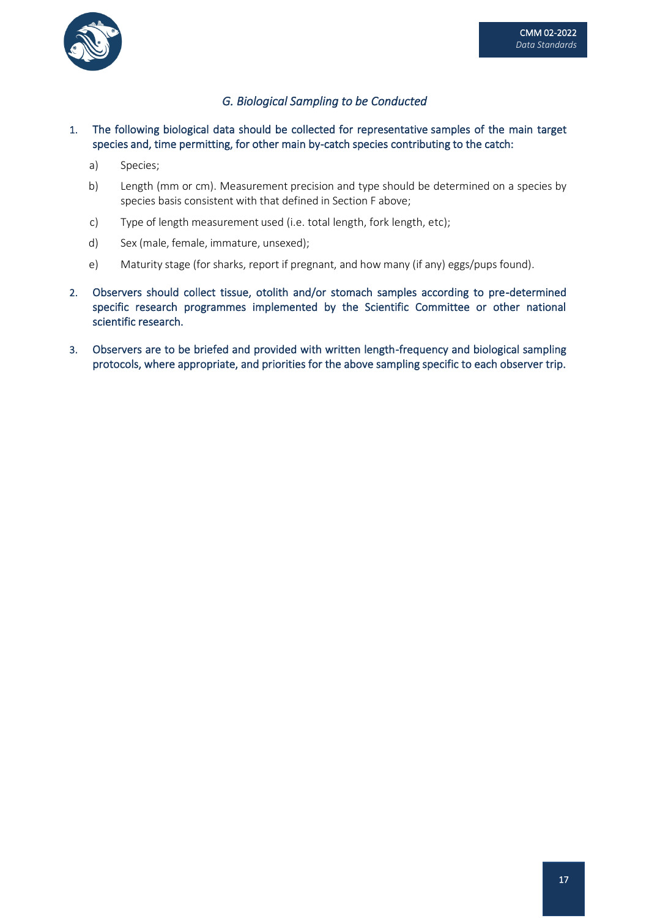

## *G. Biological Sampling to be Conducted*

1. The following biological data should be collected for representative samples of the main target species and, time permitting, for other main by-catch species contributing to the catch:

- a) Species;
- b) Length (mm or cm). Measurement precision and type should be determined on a species by species basis consistent with that defined in Section F above;
- c) Type of length measurement used (i.e. total length, fork length, etc);
- d) Sex (male, female, immature, unsexed);
- e) Maturity stage (for sharks, report if pregnant, and how many (if any) eggs/pups found).
- 2. Observers should collect tissue, otolith and/or stomach samples according to pre-determined specific research programmes implemented by the Scientific Committee or other national scientific research.
- 3. Observers are to be briefed and provided with written length-frequency and biological sampling protocols, where appropriate, and priorities for the above sampling specific to each observer trip.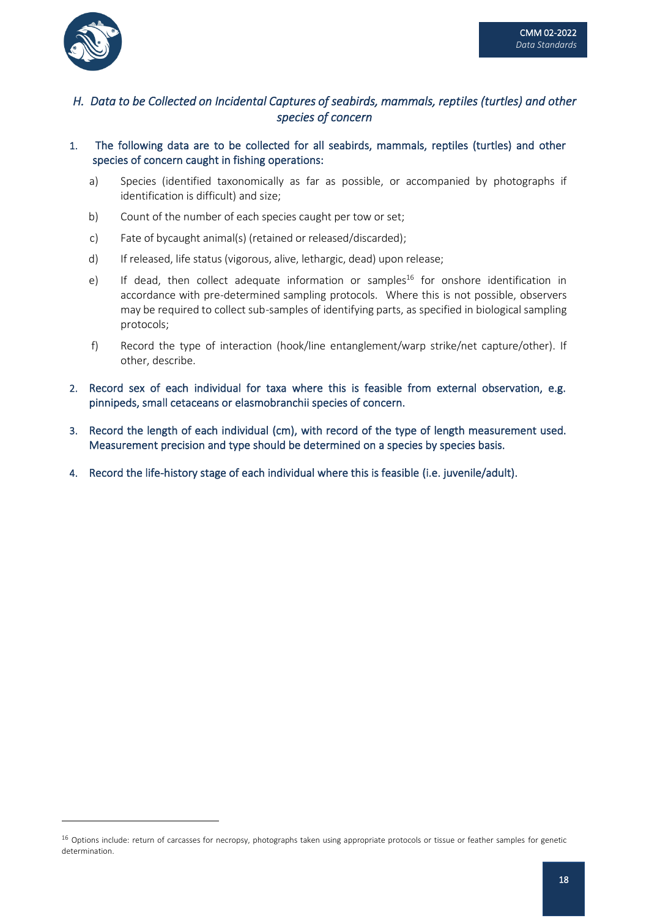

## *H. Data to be Collected on Incidental Captures of seabirds, mammals, reptiles (turtles) and other species of concern*

- 1. The following data are to be collected for all seabirds, mammals, reptiles (turtles) and other species of concern caught in fishing operations:
	- a) Species (identified taxonomically as far as possible, or accompanied by photographs if identification is difficult) and size;
	- b) Count of the number of each species caught per tow or set;
	- c) Fate of bycaught animal(s) (retained or released/discarded);
	- d) If released, life status (vigorous, alive, lethargic, dead) upon release;
	- e) If dead, then collect adequate information or samples<sup>16</sup> for onshore identification in accordance with pre-determined sampling protocols. Where this is not possible, observers may be required to collect sub-samples of identifying parts, as specified in biological sampling protocols;
	- f) Record the type of interaction (hook/line entanglement/warp strike/net capture/other). If other, describe.
- 2. Record sex of each individual for taxa where this is feasible from external observation, e.g. pinnipeds, small cetaceans or elasmobranchii species of concern.
- 3. Record the length of each individual (cm), with record of the type of length measurement used. Measurement precision and type should be determined on a species by species basis.
- 4. Record the life-history stage of each individual where this is feasible (i.e. juvenile/adult).

<sup>&</sup>lt;sup>16</sup> Options include: return of carcasses for necropsy, photographs taken using appropriate protocols or tissue or feather samples for genetic determination.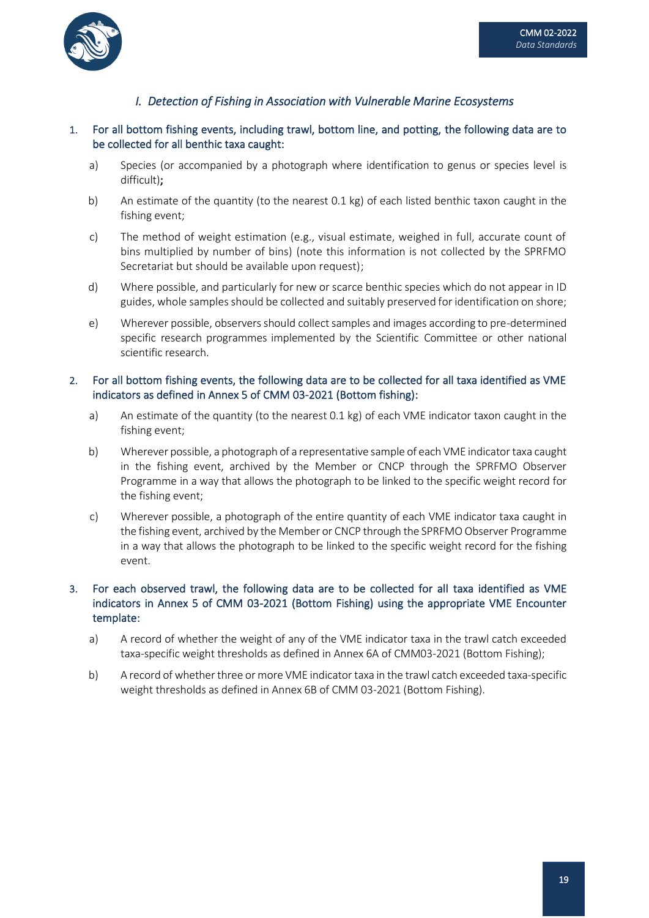

## *I. Detection of Fishing in Association with Vulnerable Marine Ecosystems*

#### 1. For all bottom fishing events, including trawl, bottom line, and potting, the following data are to be collected for all benthic taxa caught:

- a) Species (or accompanied by a photograph where identification to genus or species level is difficult);
- b) An estimate of the quantity (to the nearest 0.1 kg) of each listed benthic taxon caught in the fishing event;
- c) The method of weight estimation (e.g., visual estimate, weighed in full, accurate count of bins multiplied by number of bins) (note this information is not collected by the SPRFMO Secretariat but should be available upon request);
- d) Where possible, and particularly for new or scarce benthic species which do not appear in ID guides, whole samples should be collected and suitably preserved for identification on shore;
- e) Wherever possible, observersshould collectsamples and images according to pre-determined specific research programmes implemented by the Scientific Committee or other national scientific research.

#### 2. For all bottom fishing events, the following data are to be collected for all taxa identified as VME indicators as defined in Annex 5 of CMM 03-2021 (Bottom fishing):

- a) An estimate of the quantity (to the nearest 0.1 kg) of each VME indicator taxon caught in the fishing event;
- b) Wherever possible, a photograph of a representative sample of each VME indicator taxa caught in the fishing event, archived by the Member or CNCP through the SPRFMO Observer Programme in a way that allows the photograph to be linked to the specific weight record for the fishing event;
- c) Wherever possible, a photograph of the entire quantity of each VME indicator taxa caught in the fishing event, archived by the Member or CNCP through the SPRFMO Observer Programme in a way that allows the photograph to be linked to the specific weight record for the fishing event.

### 3. For each observed trawl, the following data are to be collected for all taxa identified as VME indicators in Annex 5 of CMM 03-2021 (Bottom Fishing) using the appropriate VME Encounter template:

- a) A record of whether the weight of any of the VME indicator taxa in the trawl catch exceeded taxa-specific weight thresholds as defined in Annex 6A of CMM03-2021 (Bottom Fishing);
- b) A record of whether three or more VME indicator taxa in the trawl catch exceeded taxa-specific weight thresholds as defined in Annex 6B of CMM 03-2021 (Bottom Fishing).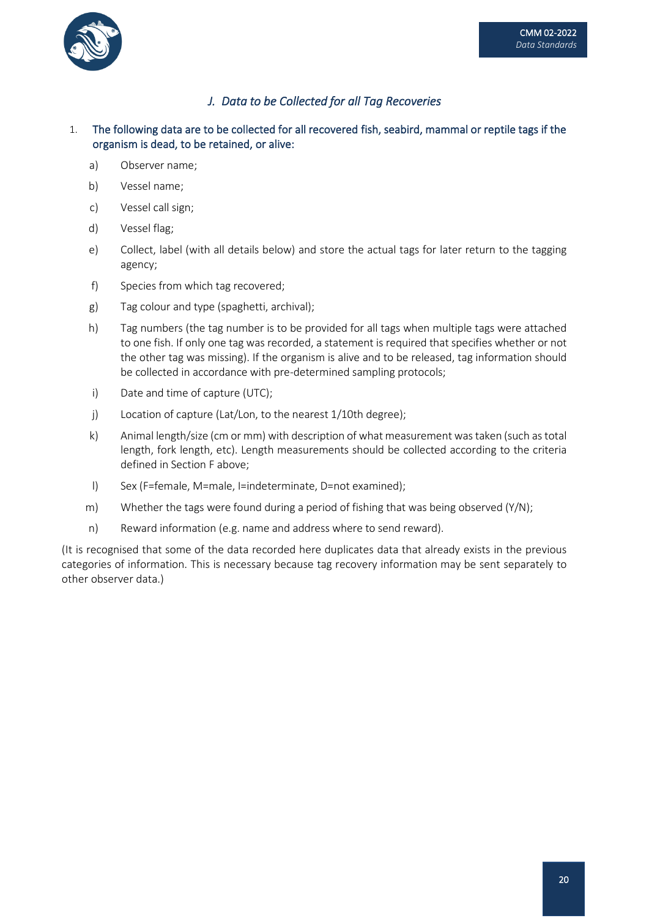

## *J. Data to be Collected for all Tag Recoveries*

- 1. The following data are to be collected for all recovered fish, seabird, mammal or reptile tags if the organism is dead, to be retained, or alive:
	- a) Observer name;
	- b) Vessel name;
	- c) Vessel call sign;
	- d) Vessel flag;
	- e) Collect, label (with all details below) and store the actual tags for later return to the tagging agency;
	- f) Species from which tag recovered;
	- g) Tag colour and type (spaghetti, archival);
	- h) Tag numbers (the tag number is to be provided for all tags when multiple tags were attached to one fish. If only one tag was recorded, a statement is required that specifies whether or not the other tag was missing). If the organism is alive and to be released, tag information should be collected in accordance with pre-determined sampling protocols;
	- i) Date and time of capture (UTC);
	- j) Location of capture (Lat/Lon, to the nearest 1/10th degree);
	- k) Animal length/size (cm or mm) with description of what measurement was taken (such as total length, fork length, etc). Length measurements should be collected according to the criteria defined in Section F above;
	- l) Sex (F=female, M=male, I=indeterminate, D=not examined);
	- m) Whether the tags were found during a period of fishing that was being observed  $(Y/N)$ ;
	- n) Reward information (e.g. name and address where to send reward).

(It is recognised that some of the data recorded here duplicates data that already exists in the previous categories of information. This is necessary because tag recovery information may be sent separately to other observer data.)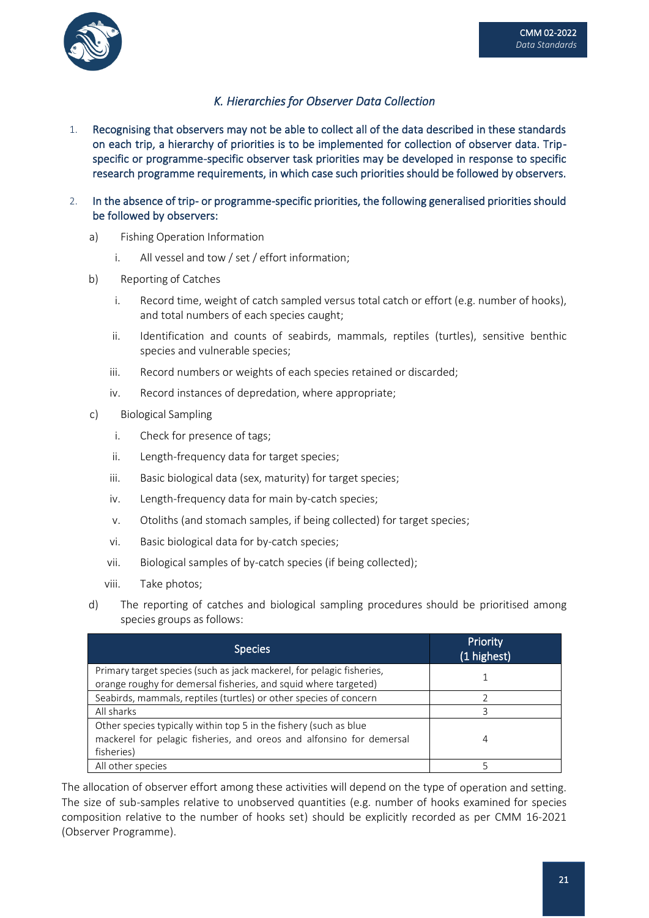



## *K. Hierarchies for Observer Data Collection*

- 1. Recognising that observers may not be able to collect all of the data described in these standards on each trip, a hierarchy of priorities is to be implemented for collection of observer data. Tripspecific or programme-specific observer task priorities may be developed in response to specific research programme requirements, in which case such priorities should be followed by observers.
- 2. In the absence of trip- or programme-specific priorities, the following generalised priorities should be followed by observers:
	- a) Fishing Operation Information
		- i. All vessel and tow / set / effort information;
	- b) Reporting of Catches
		- i. Record time, weight of catch sampled versus total catch or effort (e.g. number of hooks), and total numbers of each species caught;
		- ii. Identification and counts of seabirds, mammals, reptiles (turtles), sensitive benthic species and vulnerable species;
		- iii. Record numbers or weights of each species retained or discarded;
		- iv. Record instances of depredation, where appropriate;
	- c) Biological Sampling
		- i. Check for presence of tags;
		- ii. Length-frequency data for target species;
		- iii. Basic biological data (sex, maturity) for target species;
		- iv. Length-frequency data for main by-catch species;
		- v. Otoliths (and stomach samples, if being collected) for target species;
		- vi. Basic biological data for by-catch species;
		- vii. Biological samples of by-catch species (if being collected);
		- viii. Take photos;
	- d) The reporting of catches and biological sampling procedures should be prioritised among species groups as follows:

| <b>Species</b>                                                        | Priority<br>(1 highest) |
|-----------------------------------------------------------------------|-------------------------|
| Primary target species (such as jack mackerel, for pelagic fisheries, |                         |
| orange roughy for demersal fisheries, and squid where targeted)       |                         |
| Seabirds, mammals, reptiles (turtles) or other species of concern     |                         |
| All sharks                                                            | 3                       |
| Other species typically within top 5 in the fishery (such as blue     |                         |
| mackerel for pelagic fisheries, and oreos and alfonsino for demersal  | 4                       |
| fisheries)                                                            |                         |
| All other species                                                     |                         |

The allocation of observer effort among these activities will depend on the type of operation and setting. The size of sub-samples relative to unobserved quantities (e.g. number of hooks examined for species composition relative to the number of hooks set) should be explicitly recorded as per CMM 16-2021 (Observer Programme).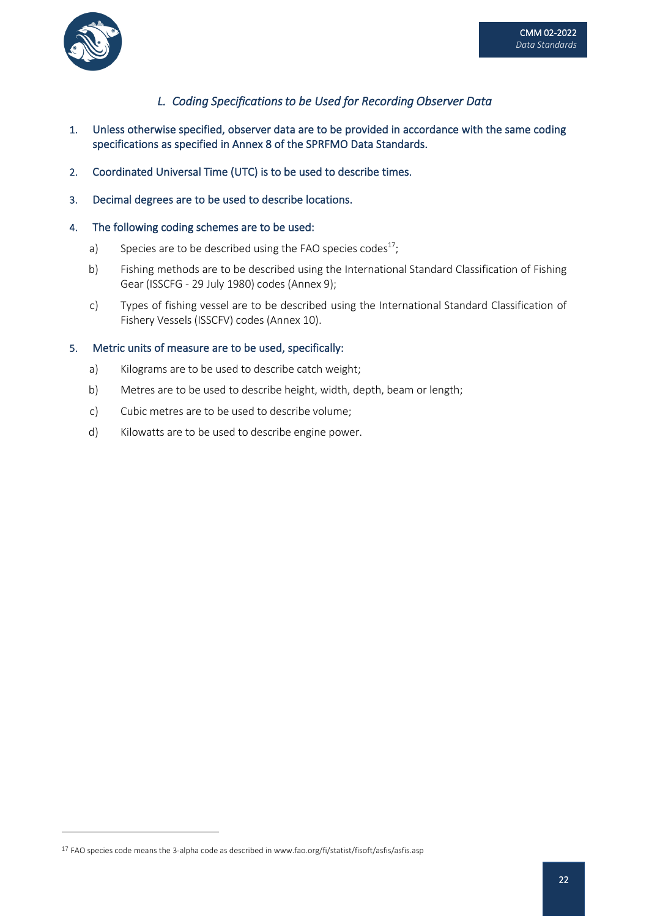



## *L. Coding Specifications to be Used for Recording Observer Data*

- 1. Unless otherwise specified, observer data are to be provided in accordance with the same coding specifications as specified in Annex 8 of the SPRFMO Data Standards.
- 2. Coordinated Universal Time (UTC) is to be used to describe times.
- 3. Decimal degrees are to be used to describe locations.

#### 4. The following coding schemes are to be used:

- a) Species are to be described using the FAO species codes<sup>17</sup>;
- b) Fishing methods are to be described using the International Standard Classification of Fishing Gear (ISSCFG - 29 July 1980) codes (Annex 9);
- c) Types of fishing vessel are to be described using the International Standard Classification of Fishery Vessels (ISSCFV) codes (Annex 10).

#### 5. Metric units of measure are to be used, specifically:

- a) Kilograms are to be used to describe catch weight;
- b) Metres are to be used to describe height, width, depth, beam or length;
- c) Cubic metres are to be used to describe volume;
- d) Kilowatts are to be used to describe engine power.

<sup>&</sup>lt;sup>17</sup> FAO species code means the 3-alpha code as described in www.fao.org/fi/statist/fisoft/asfis/asfis.asp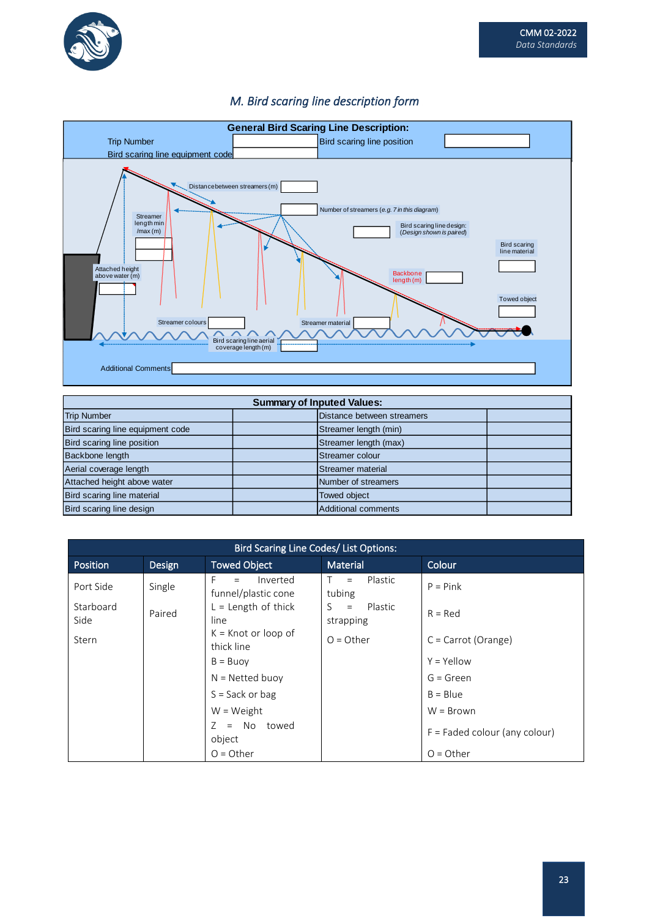



## *M. Bird scaring line description form*

| <b>Summary of Inputed Values:</b> |  |                            |  |  |
|-----------------------------------|--|----------------------------|--|--|
| <b>Trip Number</b>                |  | Distance between streamers |  |  |
| Bird scaring line equipment code  |  | Streamer length (min)      |  |  |
| Bird scaring line position        |  | Streamer length (max)      |  |  |
| Backbone length                   |  | Streamer colour            |  |  |
| Aerial coverage length            |  | Streamer material          |  |  |
| Attached height above water       |  | Number of streamers        |  |  |
| Bird scaring line material        |  | Towed object               |  |  |
| Bird scaring line design          |  | Additional comments        |  |  |

| <b>Bird Scaring Line Codes/ List Options:</b> |        |                                        |                                    |                                 |  |
|-----------------------------------------------|--------|----------------------------------------|------------------------------------|---------------------------------|--|
| <b>Position</b>                               | Design | <b>Towed Object</b>                    | <b>Material</b>                    | Colour                          |  |
| Port Side                                     | Single | Inverted<br>$=$<br>funnel/plastic cone | Plastic<br>T.<br>$=$<br>tubing     | $P = Pink$                      |  |
| Starboard<br>Side                             | Paired | $L =$ Length of thick<br>line          | Plastic<br>S –<br>$=$<br>strapping | $R = Red$                       |  |
| <b>Stern</b>                                  |        | $K =$ Knot or loop of<br>thick line    | $Q = 0$ ther                       | $C =$ Carrot (Orange)           |  |
|                                               |        | $B = B$ uoy                            |                                    | $Y = Y$ ellow                   |  |
|                                               |        | $N = Netted buoy$                      |                                    | $G = Green$                     |  |
|                                               |        | $S = Sack or bag$                      |                                    | $B = Blue$                      |  |
|                                               |        | $W = Weight$                           |                                    | $W = Brown$                     |  |
|                                               |        | $=$ No towed<br>7<br>object            |                                    | $F =$ Faded colour (any colour) |  |
|                                               |        | $O = Other$                            |                                    | $O = Other$                     |  |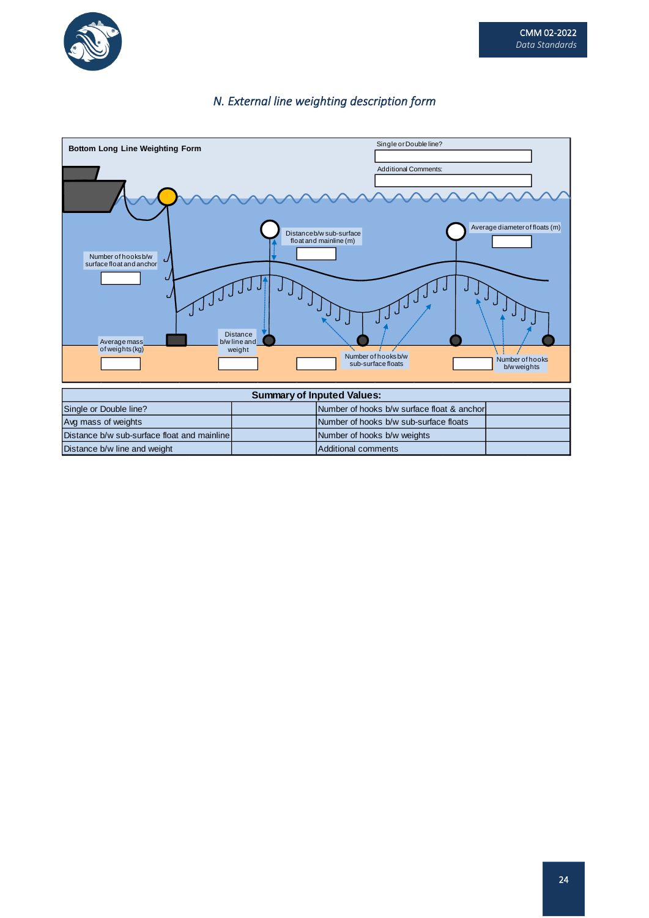

## *N. External line weighting description form*



| Single or Double line?                      |  | Number of hooks b/w surface float & anchor |  |  |
|---------------------------------------------|--|--------------------------------------------|--|--|
| Avg mass of weights                         |  | Number of hooks b/w sub-surface floats     |  |  |
| Distance b/w sub-surface float and mainline |  | Number of hooks b/w weights                |  |  |
| Distance b/w line and weight                |  | Additional comments                        |  |  |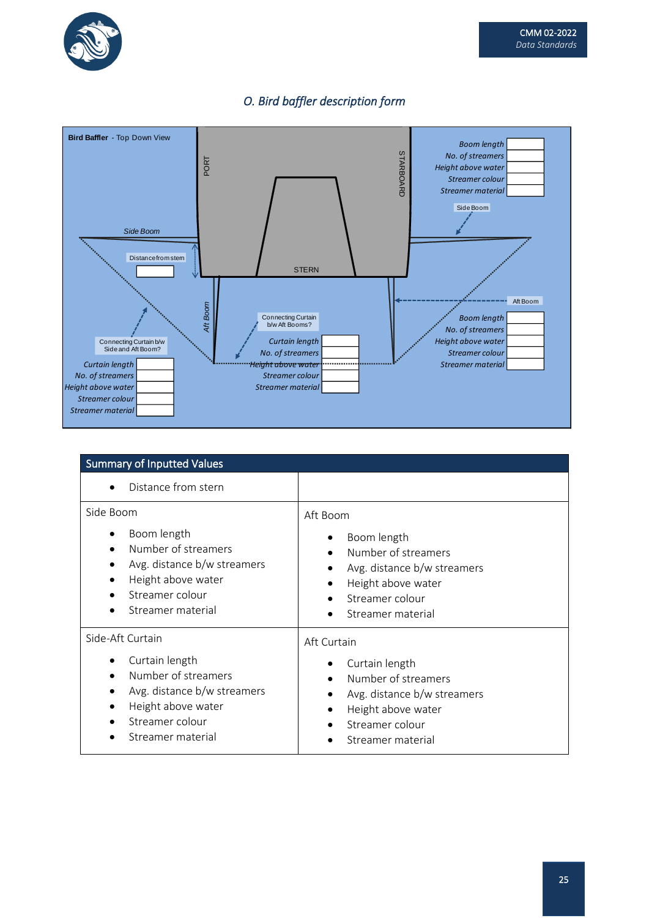

## *O. Bird baffler description form*



| <b>Summary of Inputted Values</b>                                                                                                                                                   |                                                                                                                                                          |  |  |
|-------------------------------------------------------------------------------------------------------------------------------------------------------------------------------------|----------------------------------------------------------------------------------------------------------------------------------------------------------|--|--|
| Distance from stern<br>$\bullet$                                                                                                                                                    |                                                                                                                                                          |  |  |
| Side Boom<br>Boom length<br>Number of streamers<br>$\bullet$<br>Avg. distance b/w streamers<br>$\bullet$<br>Height above water<br>$\bullet$<br>Streamer colour<br>Streamer material | Aft Boom<br>Boom length<br>Number of streamers<br>Avg. distance b/w streamers<br>Height above water<br>$\bullet$<br>Streamer colour<br>Streamer material |  |  |
| Side-Aft Curtain<br>Curtain length<br>Number of streamers<br>$\bullet$<br>Avg. distance b/w streamers<br>Height above water<br>Streamer colour<br>Streamer material                 | Aft Curtain<br>Curtain length<br>Number of streamers<br>Avg. distance b/w streamers<br>Height above water<br>Streamer colour<br>Streamer material        |  |  |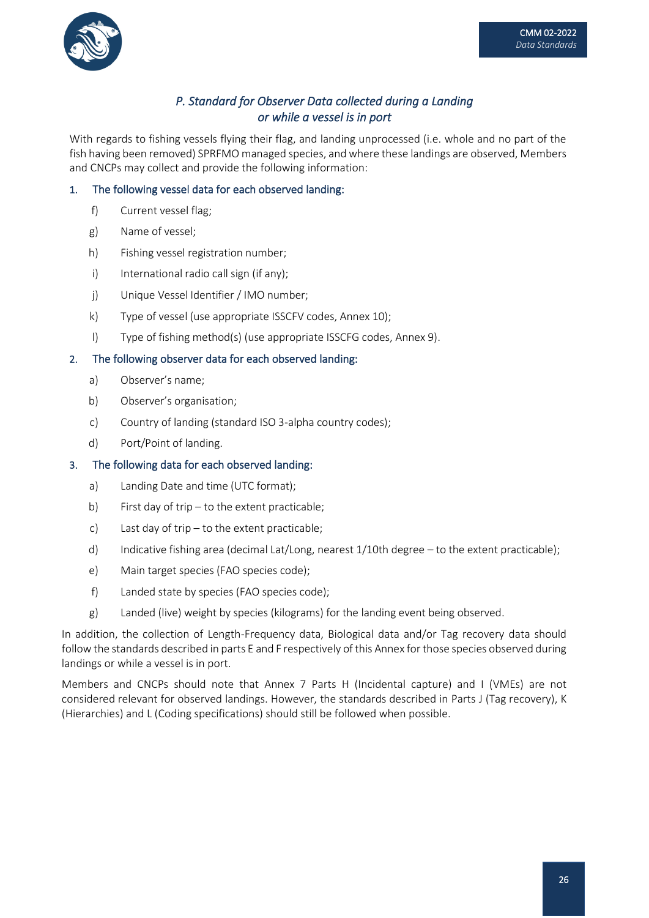

## *P. Standard for Observer Data collected during a Landing or while a vessel is in port*

With regards to fishing vessels flying their flag, and landing unprocessed (i.e. whole and no part of the fish having been removed) SPRFMO managed species, and where these landings are observed, Members and CNCPs may collect and provide the following information:

### 1. The following vessel data for each observed landing:

- f) Current vessel flag;
- g) Name of vessel;
- h) Fishing vessel registration number;
- i) International radio call sign (if any);
- j) Unique Vessel Identifier / IMO number;
- k) Type of vessel (use appropriate ISSCFV codes, Annex 10);
- l) Type of fishing method(s) (use appropriate ISSCFG codes, Annex 9).

#### 2. The following observer data for each observed landing:

- a) Observer's name;
- b) Observer's organisation;
- c) Country of landing (standard ISO 3-alpha country codes);
- d) Port/Point of landing.

### 3. The following data for each observed landing:

- a) Landing Date and time (UTC format);
- b) First day of trip to the extent practicable;
- c) Last day of trip to the extent practicable;
- d) Indicative fishing area (decimal Lat/Long, nearest 1/10th degree to the extent practicable);
- e) Main target species (FAO species code);
- f) Landed state by species (FAO species code);
- g) Landed (live) weight by species (kilograms) for the landing event being observed.

In addition, the collection of Length-Frequency data, Biological data and/or Tag recovery data should follow the standards described in parts E and F respectively of this Annex for those species observed during landings or while a vessel is in port.

Members and CNCPs should note that Annex 7 Parts H (Incidental capture) and I (VMEs) are not considered relevant for observed landings. However, the standards described in Parts J (Tag recovery), K (Hierarchies) and L (Coding specifications) should still be followed when possible.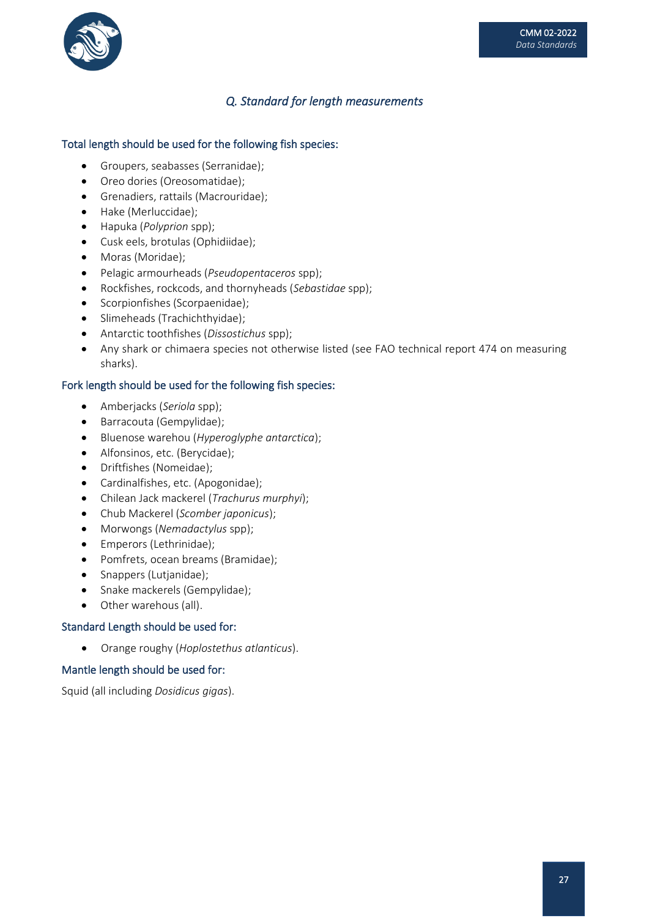

## *Q. Standard for length measurements*

#### Total length should be used for the following fish species:

- Groupers, seabasses (Serranidae);
- Oreo dories (Oreosomatidae);
- Grenadiers, rattails (Macrouridae);
- Hake (Merluccidae);
- Hapuka (*Polyprion* spp);
- Cusk eels, brotulas (Ophidiidae);
- Moras (Moridae);
- Pelagic armourheads (*Pseudopentaceros* spp);
- Rockfishes, rockcods, and thornyheads (*Sebastidae* spp);
- Scorpionfishes (Scorpaenidae);
- Slimeheads (Trachichthyidae);
- Antarctic toothfishes (*Dissostichus* spp);
- Any shark or chimaera species not otherwise listed (see FAO technical report 474 on measuring sharks).

#### Fork length should be used for the following fish species:

- Amberjacks (*Seriola* spp);
- Barracouta (Gempylidae);
- Bluenose warehou (*Hyperoglyphe antarctica*);
- Alfonsinos, etc. (Berycidae);
- Driftfishes (Nomeidae);
- Cardinalfishes, etc. (Apogonidae);
- Chilean Jack mackerel (*Trachurus murphyi*);
- Chub Mackerel (*Scomber japonicus*);
- Morwongs (*Nemadactylus* spp);
- Emperors (Lethrinidae);
- Pomfrets, ocean breams (Bramidae);
- Snappers (Lutjanidae);
- Snake mackerels (Gempylidae);
- Other warehous (all).

#### Standard Length should be used for:

• Orange roughy (*Hoplostethus atlanticus*).

#### Mantle length should be used for:

Squid (all including *Dosidicus gigas*).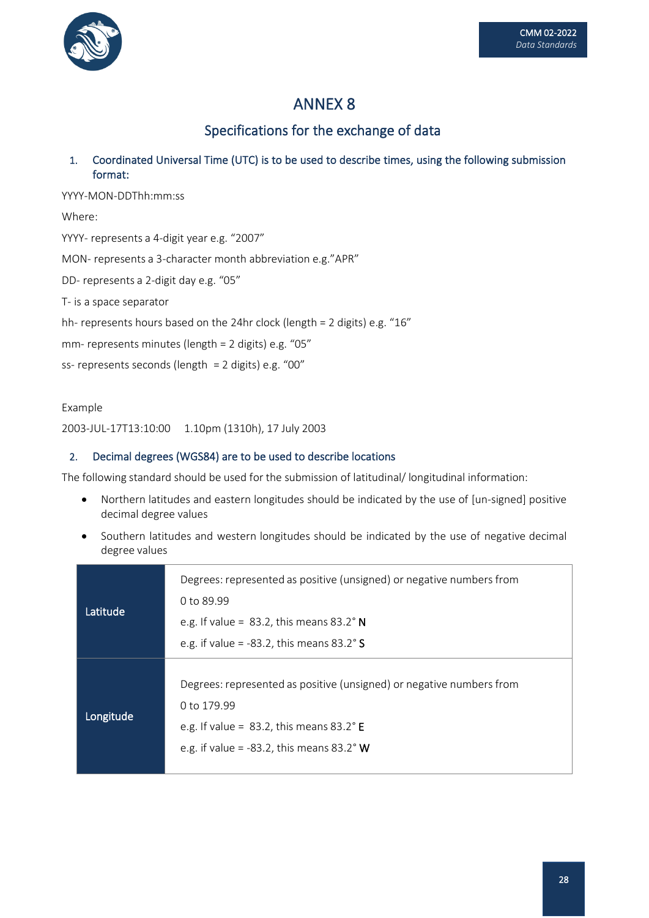

Specifications for the exchange of data

1. Coordinated Universal Time (UTC) is to be used to describe times, using the following submission format:

YYYY-MON-DDThh:mm:ss Where: YYYY- represents a 4-digit year e.g. "2007" MON- represents a 3-character month abbreviation e.g."APR" DD- represents a 2-digit day e.g. "05" T- is a space separator hh- represents hours based on the 24hr clock (length = 2 digits) e.g. "16" mm- represents minutes (length = 2 digits) e.g. "05" ss- represents seconds (length = 2 digits) e.g. "00"

#### Example

2003-JUL-17T13:10:00 1.10pm (1310h), 17 July 2003

### 2. Decimal degrees (WGS84) are to be used to describe locations

The following standard should be used for the submission of latitudinal/ longitudinal information:

- Northern latitudes and eastern longitudes should be indicated by the use of [un-signed] positive decimal degree values
- Southern latitudes and western longitudes should be indicated by the use of negative decimal degree values

| Latitude  | Degrees: represented as positive (unsigned) or negative numbers from<br>0 to 89.99<br>e.g. If value = $83.2$ , this means $83.2^\circ$ N<br>e.g. if value = -83.2, this means $83.2^\circ$ S      |
|-----------|---------------------------------------------------------------------------------------------------------------------------------------------------------------------------------------------------|
| Longitude | Degrees: represented as positive (unsigned) or negative numbers from<br>0 to 179.99<br>e.g. If value = $83.2$ , this means $83.2^{\circ}$ E<br>e.g. if value = -83.2, this means $83.2^{\circ}$ W |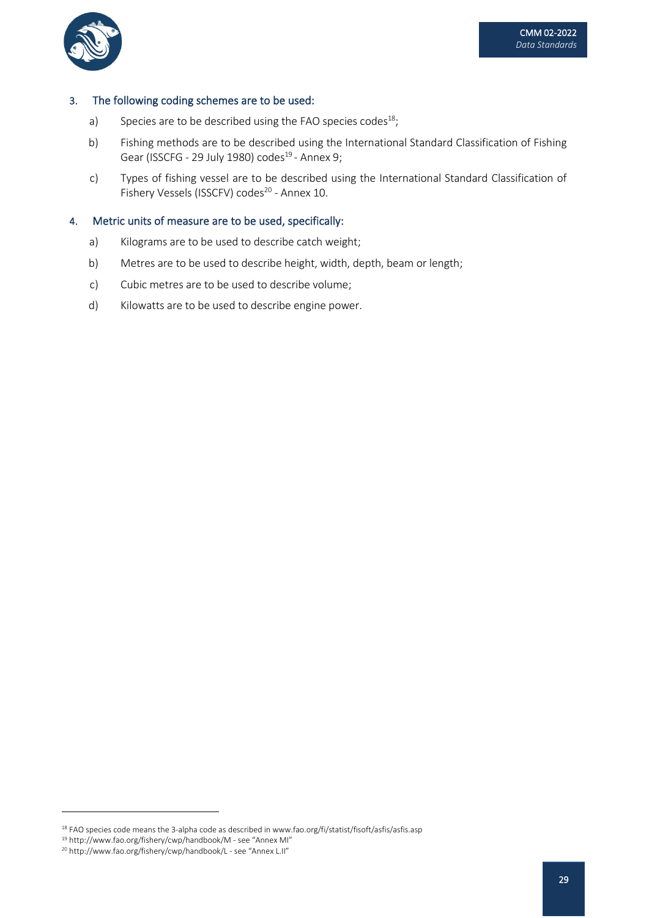

#### 3. The following coding schemes are to be used:

- a) Species are to be described using the FAO species codes<sup>18</sup>;
- b) Fishing methods are to be described using the International Standard Classification of Fishing Gear (ISSCFG - 29 July 1980) codes<sup>19</sup> - Annex 9;
- c) Types of fishing vessel are to be described using the International Standard Classification of Fishery Vessels (ISSCFV) codes<sup>20</sup> - Annex 10.

#### 4. Metric units of measure are to be used, specifically:

- a) Kilograms are to be used to describe catch weight;
- b) Metres are to be used to describe height, width, depth, beam or length;
- c) Cubic metres are to be used to describe volume;
- d) Kilowatts are to be used to describe engine power.

<sup>&</sup>lt;sup>18</sup> FAO species code means the 3-alpha code as described in www.fao.org/fi/statist/fisoft/asfis/asfis.asp

<sup>19</sup> http://www.fao.org/fishery/cwp/handbook/M - see "Annex MI"

<sup>20</sup> http://www.fao.org/fishery/cwp/handbook/L - see "Annex L.II"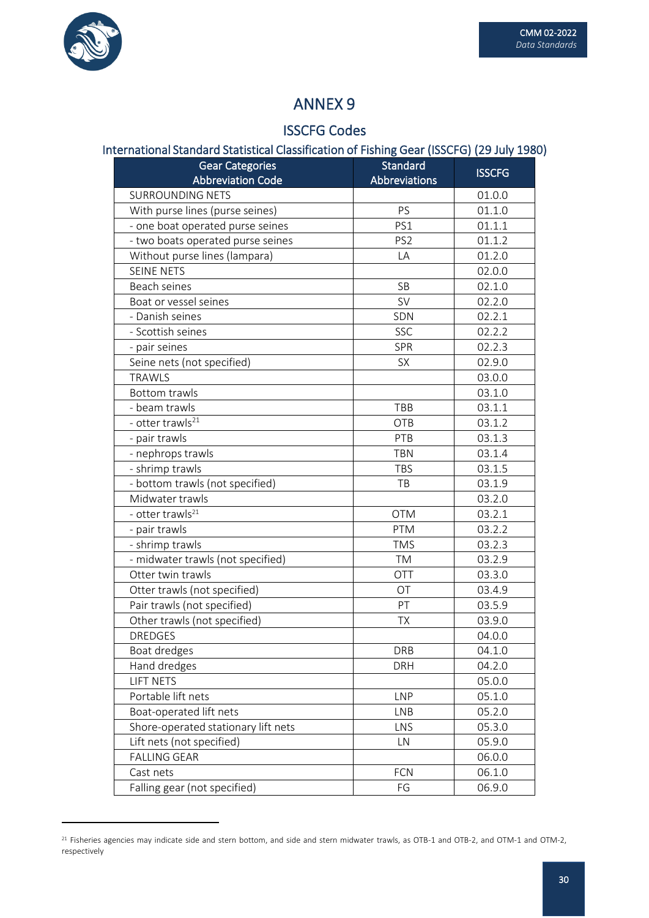

# ISSCFG Codes

## International Standard Statistical Classification of Fishing Gear (ISSCFG) (29 July 1980)

| <b>Gear Categories</b>              | Standard        | <b>ISSCFG</b> |
|-------------------------------------|-----------------|---------------|
| <b>Abbreviation Code</b>            | Abbreviations   |               |
| <b>SURROUNDING NETS</b>             |                 | 01.0.0        |
| With purse lines (purse seines)     | PS              | 01.1.0        |
| - one boat operated purse seines    | PS1             | 01.1.1        |
| - two boats operated purse seines   | PS <sub>2</sub> | 01.1.2        |
| Without purse lines (lampara)       | LA              | 01.2.0        |
| <b>SEINE NETS</b>                   |                 | 02.0.0        |
| Beach seines                        | SB              | 02.1.0        |
| Boat or vessel seines               | <b>SV</b>       | 02.2.0        |
| - Danish seines                     | SDN             | 02.2.1        |
| - Scottish seines                   | <b>SSC</b>      | 02.2.2        |
| - pair seines                       | <b>SPR</b>      | 02.2.3        |
| Seine nets (not specified)          | <b>SX</b>       | 02.9.0        |
| <b>TRAWLS</b>                       |                 | 03.0.0        |
| <b>Bottom trawls</b>                |                 | 03.1.0        |
| - beam trawls                       | <b>TBB</b>      | 03.1.1        |
| - otter trawls <sup>21</sup>        | OTB             | 03.1.2        |
| - pair trawls                       | PTB             | 03.1.3        |
| - nephrops trawls                   | <b>TBN</b>      | 03.1.4        |
| - shrimp trawls                     | <b>TBS</b>      | 03.1.5        |
| - bottom trawls (not specified)     | TB              | 03.1.9        |
| Midwater trawls                     |                 | 03.2.0        |
| - otter trawls <sup>21</sup>        | <b>OTM</b>      | 03.2.1        |
| - pair trawls                       | <b>PTM</b>      | 03.2.2        |
| - shrimp trawls                     | <b>TMS</b>      | 03.2.3        |
| - midwater trawls (not specified)   | <b>TM</b>       | 03.2.9        |
| Otter twin trawls                   | <b>OTT</b>      | 03.3.0        |
| Otter trawls (not specified)        | OT              | 03.4.9        |
| Pair trawls (not specified)         | PT              | 03.5.9        |
| Other trawls (not specified)        | <b>TX</b>       | 03.9.0        |
| <b>DREDGES</b>                      |                 | 04.0.0        |
| Boat dredges                        | <b>DRB</b>      | 04.1.0        |
| Hand dredges                        | <b>DRH</b>      | 04.2.0        |
| <b>LIFT NETS</b>                    |                 | 05.0.0        |
| Portable lift nets                  | <b>LNP</b>      | 05.1.0        |
| Boat-operated lift nets             | <b>LNB</b>      | 05.2.0        |
| Shore-operated stationary lift nets | LNS             | 05.3.0        |
| Lift nets (not specified)           | LN              | 05.9.0        |
| <b>FALLING GEAR</b>                 |                 | 06.0.0        |
| Cast nets                           | <b>FCN</b>      | 06.1.0        |
| Falling gear (not specified)        | FG              | 06.9.0        |

 $^{21}$  Fisheries agencies may indicate side and stern bottom, and side and stern midwater trawls, as OTB-1 and OTB-2, and OTM-1 and OTM-2, respectively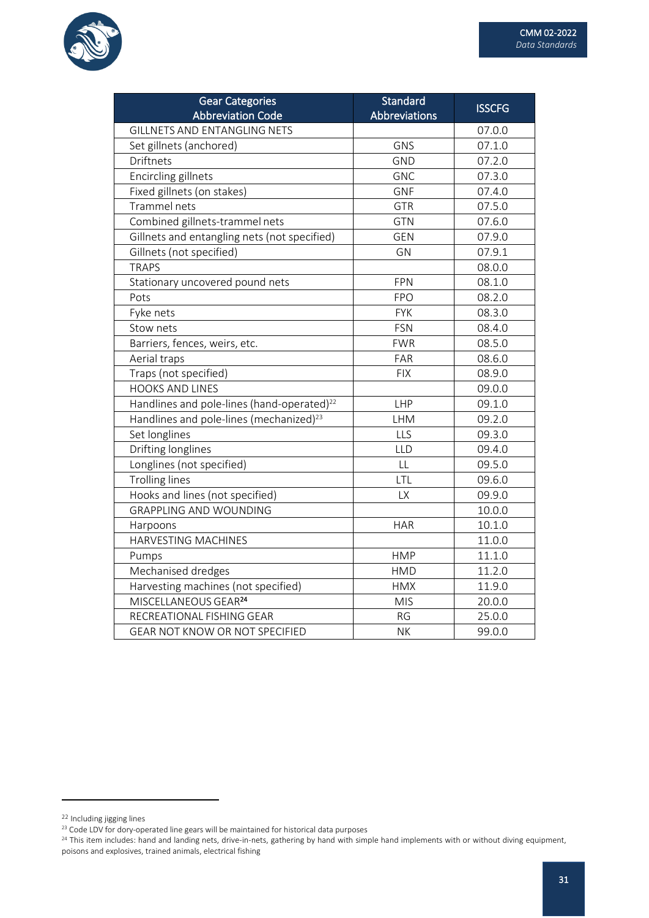

| <b>Gear Categories</b>                                 | Standard      | <b>ISSCFG</b> |
|--------------------------------------------------------|---------------|---------------|
| <b>Abbreviation Code</b>                               | Abbreviations |               |
| <b>GILLNETS AND ENTANGLING NETS</b>                    |               | 07.0.0        |
| Set gillnets (anchored)                                | GNS           | 07.1.0        |
| Driftnets                                              | <b>GND</b>    | 07.2.0        |
| <b>Encircling gillnets</b>                             | <b>GNC</b>    | 07.3.0        |
| Fixed gillnets (on stakes)                             | <b>GNF</b>    | 07.4.0        |
| Trammel nets                                           | GTR           | 07.5.0        |
| Combined gillnets-trammel nets                         | <b>GTN</b>    | 07.6.0        |
| Gillnets and entangling nets (not specified)           | <b>GEN</b>    | 07.9.0        |
| Gillnets (not specified)                               | GN            | 07.9.1        |
| <b>TRAPS</b>                                           |               | 08.0.0        |
| Stationary uncovered pound nets                        | <b>FPN</b>    | 08.1.0        |
| Pots                                                   | <b>FPO</b>    | 08.2.0        |
| Fyke nets                                              | <b>FYK</b>    | 08.3.0        |
| Stow nets                                              | <b>FSN</b>    | 08.4.0        |
| Barriers, fences, weirs, etc.                          | <b>FWR</b>    | 08.5.0        |
| Aerial traps                                           | FAR           | 08.6.0        |
| Traps (not specified)                                  | <b>FIX</b>    | 08.9.0        |
| <b>HOOKS AND LINES</b>                                 |               | 09.0.0        |
| Handlines and pole-lines (hand-operated) <sup>22</sup> | LHP           | 09.1.0        |
| Handlines and pole-lines (mechanized) <sup>23</sup>    | <b>LHM</b>    | 09.2.0        |
| Set longlines                                          | LLS           | 09.3.0        |
| Drifting longlines                                     | LLD           | 09.4.0        |
| Longlines (not specified)                              | LL            | 09.5.0        |
| <b>Trolling lines</b>                                  | LTL           | 09.6.0        |
| Hooks and lines (not specified)                        | LX            | 09.9.0        |
| <b>GRAPPLING AND WOUNDING</b>                          |               | 10.0.0        |
| Harpoons                                               | <b>HAR</b>    | 10.1.0        |
| HARVESTING MACHINES                                    |               | 11.0.0        |
| Pumps                                                  | <b>HMP</b>    | 11.1.0        |
| Mechanised dredges                                     | <b>HMD</b>    | 11.2.0        |
| Harvesting machines (not specified)                    | <b>HMX</b>    | 11.9.0        |
| MISCELLANEOUS GEAR <sup>24</sup>                       | <b>MIS</b>    | 20.0.0        |
| RECREATIONAL FISHING GEAR                              | <b>RG</b>     | 25.0.0        |
| <b>GEAR NOT KNOW OR NOT SPECIFIED</b>                  | <b>NK</b>     | 99.0.0        |

<sup>22</sup> Including jigging lines

<sup>23</sup> Code LDV for dory-operated line gears will be maintained for historical data purposes

<sup>&</sup>lt;sup>24</sup> This item includes: hand and landing nets, drive-in-nets, gathering by hand with simple hand implements with or without diving equipment, poisons and explosives, trained animals, electrical fishing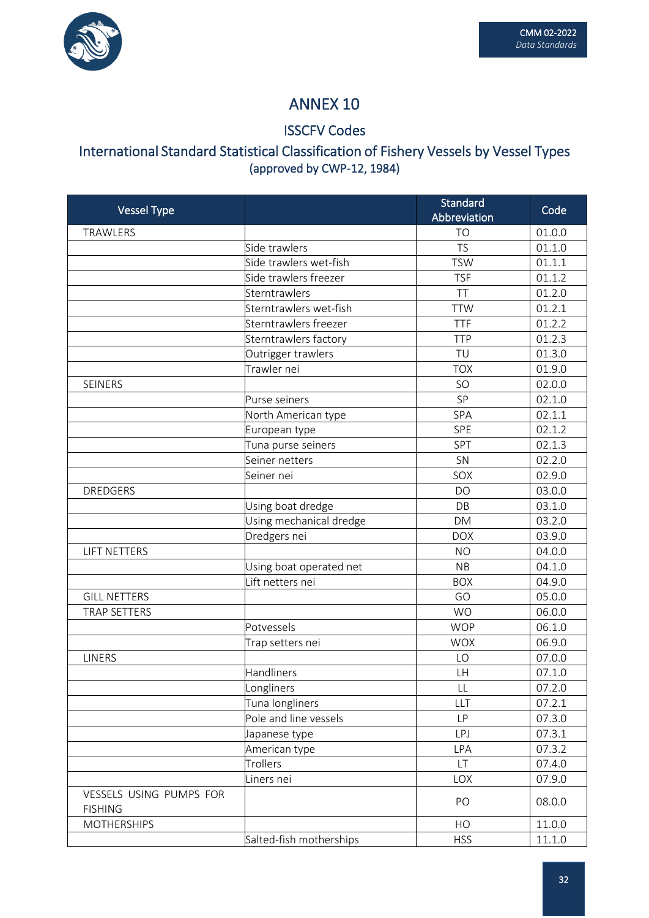

## ISSCFV Codes

# International Standard Statistical Classification of Fishery Vessels by Vessel Types (approved by CWP-12, 1984)

| <b>Vessel Type</b>                        |                         | Standard<br>Abbreviation | Code   |
|-------------------------------------------|-------------------------|--------------------------|--------|
| TRAWLERS                                  |                         | <b>TO</b>                | 01.0.0 |
|                                           | Side trawlers           | <b>TS</b>                | 01.1.0 |
|                                           | Side trawlers wet-fish  | <b>TSW</b>               | 01.1.1 |
|                                           | Side trawlers freezer   | <b>TSF</b>               | 01.1.2 |
|                                           | Sterntrawlers           | TT                       | 01.2.0 |
|                                           | Sterntrawlers wet-fish  | <b>TTW</b>               | 01.2.1 |
|                                           | Sterntrawlers freezer   | <b>TTF</b>               | 01.2.2 |
|                                           | Sterntrawlers factory   | <b>TTP</b>               | 01.2.3 |
|                                           | Outrigger trawlers      | TU                       | 01.3.0 |
|                                           | Trawler nei             | <b>TOX</b>               | 01.9.0 |
| <b>SEINERS</b>                            |                         | SO                       | 02.0.0 |
|                                           | Purse seiners           | SP                       | 02.1.0 |
|                                           | North American type     | SPA                      | 02.1.1 |
|                                           | European type           | SPE                      | 02.1.2 |
|                                           | Tuna purse seiners      | SPT                      | 02.1.3 |
|                                           | Seiner netters          | SN                       | 02.2.0 |
|                                           | Seiner nei              | SOX                      | 02.9.0 |
| <b>DREDGERS</b>                           |                         | <b>DO</b>                | 03.0.0 |
|                                           | Using boat dredge       | DB                       | 03.1.0 |
|                                           | Using mechanical dredge | <b>DM</b>                | 03.2.0 |
|                                           | Dredgers nei            | <b>DOX</b>               | 03.9.0 |
| <b>LIFT NETTERS</b>                       |                         | <b>NO</b>                | 04.0.0 |
|                                           | Using boat operated net | <b>NB</b>                | 04.1.0 |
|                                           | Lift netters nei        | <b>BOX</b>               | 04.9.0 |
| <b>GILL NETTERS</b>                       |                         | GO                       | 05.0.0 |
| TRAP SETTERS                              |                         | <b>WO</b>                | 06.0.0 |
|                                           | Potvessels              | <b>WOP</b>               | 06.1.0 |
|                                           | Trap setters nei        | <b>WOX</b>               | 06.9.0 |
| <b>LINERS</b>                             |                         | LO                       | 07.0.0 |
|                                           | Handliners              | <b>LH</b>                | 07.1.0 |
|                                           | Longliners              | LL                       | 07.2.0 |
|                                           | Tuna longliners         | LLT                      | 07.2.1 |
|                                           | Pole and line vessels   | <b>LP</b>                | 07.3.0 |
|                                           | Japanese type           | LPJ                      | 07.3.1 |
|                                           | American type           | LPA                      | 07.3.2 |
|                                           | Trollers                | LT                       | 07.4.0 |
|                                           | Liners nei              | LOX                      | 07.9.0 |
| VESSELS USING PUMPS FOR<br><b>FISHING</b> |                         | PO                       | 08.0.0 |
| <b>MOTHERSHIPS</b>                        |                         | HO                       | 11.0.0 |
|                                           | Salted-fish motherships | <b>HSS</b>               | 11.1.0 |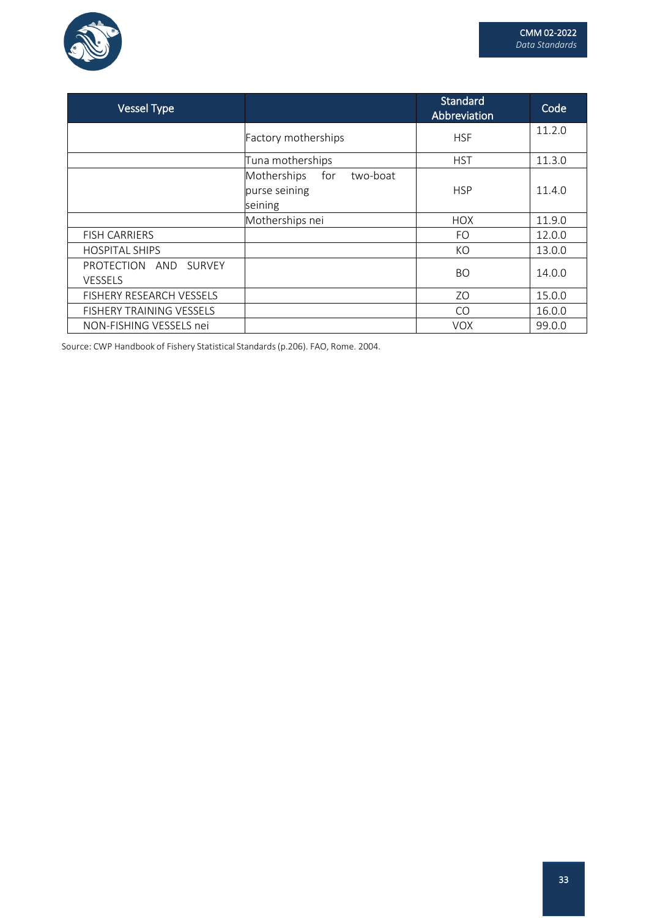

| <b>Vessel Type</b>                                          |                                                            | Standard<br>Abbreviation | Code   |
|-------------------------------------------------------------|------------------------------------------------------------|--------------------------|--------|
|                                                             | Factory motherships                                        | <b>HSF</b>               | 11.2.0 |
|                                                             | Tuna motherships                                           | <b>HST</b>               | 11.3.0 |
|                                                             | Motherships<br>two-boat<br>for<br>purse seining<br>seining | <b>HSP</b>               | 11.4.0 |
|                                                             | Motherships nei                                            | <b>HOX</b>               | 11.9.0 |
| <b>FISH CARRIERS</b>                                        |                                                            | <b>FO</b>                | 12.0.0 |
| <b>HOSPITAL SHIPS</b>                                       |                                                            | KO                       | 13.0.0 |
| <b>PROTECTION</b><br><b>SURVEY</b><br>AND<br><b>VESSELS</b> |                                                            | <b>BO</b>                | 14.0.0 |
| <b>FISHERY RESEARCH VESSELS</b>                             |                                                            | Z <sub>O</sub>           | 15.0.0 |
| FISHERY TRAINING VESSELS                                    |                                                            | CO                       | 16.0.0 |
| NON-FISHING VESSELS nei                                     |                                                            | <b>VOX</b>               | 99.0.0 |

Source: CWP Handbook of Fishery Statistical Standards(p.206). FAO, Rome. 2004.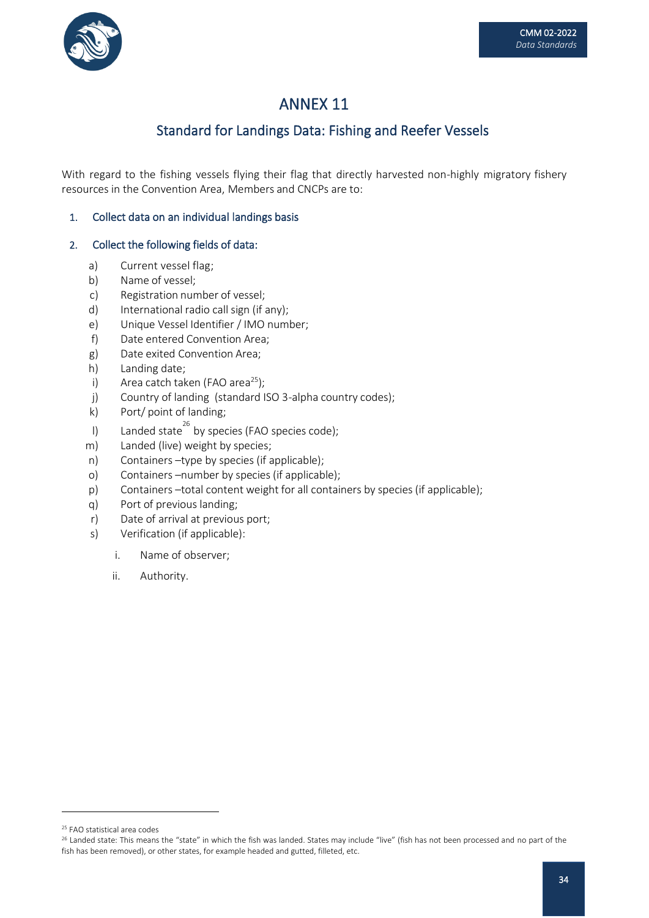

## Standard for Landings Data: Fishing and Reefer Vessels

With regard to the fishing vessels flying their flag that directly harvested non-highly migratory fishery resources in the Convention Area, Members and CNCPs are to:

## 1. Collect data on an individual landings basis

## 2. Collect the following fields of data:

- a) Current vessel flag;
- b) Name of vessel;
- c) Registration number of vessel;
- d) International radio call sign (if any);
- e) Unique Vessel Identifier / IMO number;
- f) Date entered Convention Area;
- g) Date exited Convention Area;
- h) Landing date;
- i) Area catch taken (FAO area<sup>25</sup>);
- j) Country of landing (standard ISO 3-alpha country codes);
- k) Port/ point of landing;
- l) Landed state<sup>26</sup> by species (FAO species code);
- m) Landed (live) weight by species;
- n) Containers –type by species (if applicable);
- o) Containers –number by species (if applicable);
- p) Containers –total content weight for all containers by species (if applicable);
- q) Port of previous landing;
- r) Date of arrival at previous port;
- s) Verification (if applicable):
	- i. Name of observer;
	- ii. Authority.

<sup>25</sup> FAO statistical area codes

<sup>&</sup>lt;sup>26</sup> Landed state: This means the "state" in which the fish was landed. States may include "live" (fish has not been processed and no part of the fish has been removed), or other states, for example headed and gutted, filleted, etc.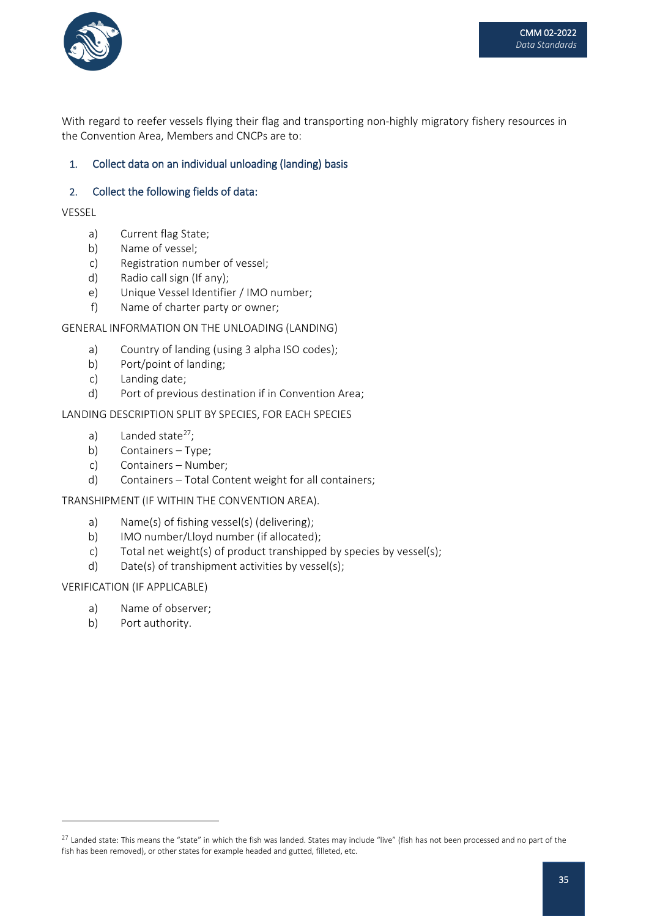

With regard to reefer vessels flying their flag and transporting non-highly migratory fishery resources in the Convention Area, Members and CNCPs are to:

## 1. Collect data on an individual unloading (landing) basis

#### 2. Collect the following fields of data:

VESSEL

- a) Current flag State;
- b) Name of vessel;
- c) Registration number of vessel;
- d) Radio call sign (If any);
- e) Unique Vessel Identifier / IMO number;
- f) Name of charter party or owner;

#### GENERAL INFORMATION ON THE UNLOADING (LANDING)

- a) Country of landing (using 3 alpha ISO codes);
- b) Port/point of landing;
- c) Landing date;
- d) Port of previous destination if in Convention Area;

LANDING DESCRIPTION SPLIT BY SPECIES, FOR EACH SPECIES

- a) Landed state $27$ ;
- b) Containers Type;
- c) Containers Number;
- d) Containers Total Content weight for all containers;

TRANSHIPMENT (IF WITHIN THE CONVENTION AREA).

- a) Name(s) of fishing vessel(s) (delivering);
- b) IMO number/Lloyd number (if allocated);
- c) Total net weight(s) of product transhipped by species by vessel(s);
- d) Date(s) of transhipment activities by vessel(s);

#### VERIFICATION (IF APPLICABLE)

- a) Name of observer;
- b) Port authority.

<sup>&</sup>lt;sup>27</sup> Landed state: This means the "state" in which the fish was landed. States may include "live" (fish has not been processed and no part of the fish has been removed), or other states for example headed and gutted, filleted, etc.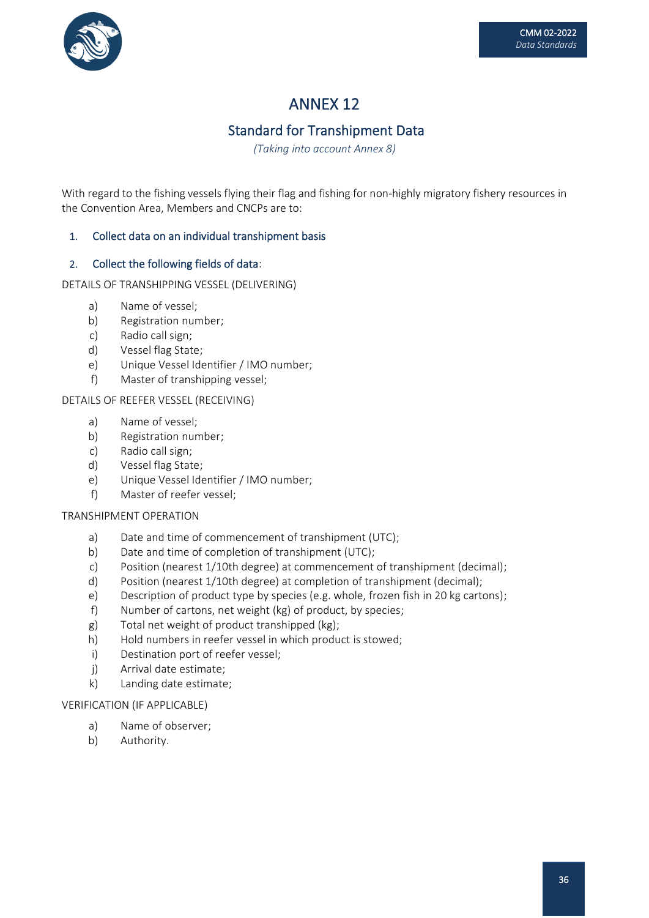

# Standard for Transhipment Data

*(Taking into account Annex 8)*

With regard to the fishing vessels flying their flag and fishing for non-highly migratory fishery resources in the Convention Area, Members and CNCPs are to:

### 1. Collect data on an individual transhipment basis

### 2. Collect the following fields of data:

DETAILS OF TRANSHIPPING VESSEL (DELIVERING)

- a) Name of vessel;
- b) Registration number;
- c) Radio call sign;
- d) Vessel flag State;
- e) Unique Vessel Identifier / IMO number;
- f) Master of transhipping vessel;

#### DETAILS OF REEFER VESSEL (RECEIVING)

- a) Name of vessel;
- b) Registration number;
- c) Radio call sign;
- d) Vessel flag State;
- e) Unique Vessel Identifier / IMO number;
- f) Master of reefer vessel;

#### TRANSHIPMENT OPERATION

- a) Date and time of commencement of transhipment (UTC);
- b) Date and time of completion of transhipment (UTC);
- c) Position (nearest 1/10th degree) at commencement of transhipment (decimal);
- d) Position (nearest 1/10th degree) at completion of transhipment (decimal);
- e) Description of product type by species (e.g. whole, frozen fish in 20 kg cartons);
- f) Number of cartons, net weight (kg) of product, by species;
- g) Total net weight of product transhipped (kg);
- h) Hold numbers in reefer vessel in which product is stowed;
- i) Destination port of reefer vessel;
- j) Arrival date estimate;
- k) Landing date estimate;

### VERIFICATION (IF APPLICABLE)

- a) Name of observer;
- b) Authority.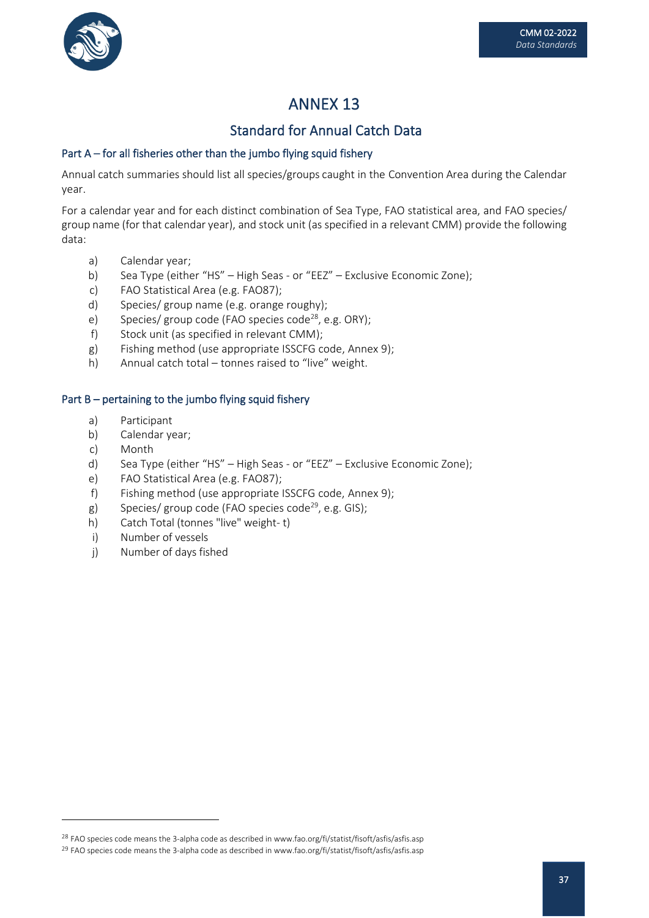

## Standard for Annual Catch Data

## Part A – for all fisheries other than the jumbo flying squid fishery

Annual catch summaries should list all species/groups caught in the Convention Area during the Calendar year.

For a calendar year and for each distinct combination of Sea Type, FAO statistical area, and FAO species/ group name (for that calendar year), and stock unit (as specified in a relevant CMM) provide the following data:

- a) Calendar year;
- b) Sea Type (either "HS" High Seas or "EEZ" Exclusive Economic Zone);
- c) FAO Statistical Area (e.g. FAO87);
- d) Species/ group name (e.g. orange roughy);
- e) Species/ group code (FAO species code<sup>28</sup>, e.g. ORY);
- f) Stock unit (as specified in relevant CMM);
- g) Fishing method (use appropriate ISSCFG code, Annex 9);
- h) Annual catch total tonnes raised to "live" weight.

## Part B – pertaining to the jumbo flying squid fishery

- a) Participant
- b) Calendar year;
- c) Month
- d) Sea Type (either "HS" High Seas or "EEZ" Exclusive Economic Zone);
- e) FAO Statistical Area (e.g. FAO87);
- f) Fishing method (use appropriate ISSCFG code, Annex 9);
- g) Species/ group code (FAO species code<sup>29</sup>, e.g. GIS);
- h) Catch Total (tonnes "live" weight- t)
- i) Number of vessels
- j) Number of days fished

<sup>&</sup>lt;sup>28</sup> FAO species code means the 3-alpha code as described in www.fao.org/fi/statist/fisoft/asfis/asfis.asp

<sup>&</sup>lt;sup>29</sup> FAO species code means the 3-alpha code as described in www.fao.org/fi/statist/fisoft/asfis/asfis.asp